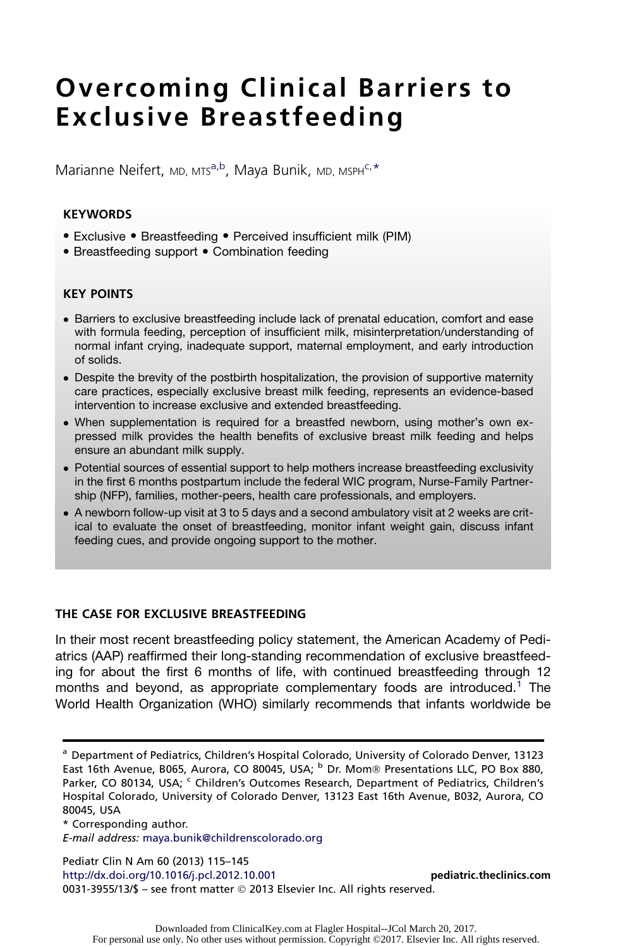# Overcoming Clinical Barriers to Exclusive Breastfeeding

Marianne Neifert, MD, MTS<sup>a,b</sup>, Maya Bunik, MD, MSPH<sup>C,\*</sup>

## **KEYWORDS**

- Exclusive Breastfeeding Perceived insufficient milk (PIM)
- Breastfeeding support Combination feeding

## KEY POINTS

- Barriers to exclusive breastfeeding include lack of prenatal education, comfort and ease with formula feeding, perception of insufficient milk, misinterpretation/understanding of normal infant crying, inadequate support, maternal employment, and early introduction of solids.
- Despite the brevity of the postbirth hospitalization, the provision of supportive maternity care practices, especially exclusive breast milk feeding, represents an evidence-based intervention to increase exclusive and extended breastfeeding.
- When supplementation is required for a breastfed newborn, using mother's own expressed milk provides the health benefits of exclusive breast milk feeding and helps ensure an abundant milk supply.
- Potential sources of essential support to help mothers increase breastfeeding exclusivity in the first 6 months postpartum include the federal WIC program, Nurse-Family Partnership (NFP), families, mother-peers, health care professionals, and employers.
- A newborn follow-up visit at 3 to 5 days and a second ambulatory visit at 2 weeks are critical to evaluate the onset of breastfeeding, monitor infant weight gain, discuss infant feeding cues, and provide ongoing support to the mother.

## THE CASE FOR EXCLUSIVE BREASTFEEDING

In their most recent breastfeeding policy statement, the American Academy of Pediatrics (AAP) reaffirmed their long-standing recommendation of exclusive breastfeeding for about the first 6 months of life, with continued breastfeeding through 12 months and beyond, as appropriate complementary foods are introduced.<sup>[1](#page-23-0)</sup> The World Health Organization (WHO) similarly recommends that infants worldwide be

E-mail address: [maya.bunik@childrenscolorado.org](mailto:maya.bunik@childrenscolorado.org)

0031-3955/13/\$ – see front matter 2013 Elsevier Inc. All rights reserved.

Pediatr Clin N Am 60 (2013) 115–145 <http://dx.doi.org/10.1016/j.pcl.2012.10.001> [pediatric.theclinics.com](http://pediatric.theclinics.com)

<sup>&</sup>lt;sup>a</sup> Department of Pediatrics, Children's Hospital Colorado, University of Colorado Denver, 13123 East 16th Avenue, B065, Aurora, CO 80045, USA; <sup>b</sup> Dr. Mom<sup>®</sup> Presentations LLC, PO Box 880, Parker, CO 80134, USA; <sup>c</sup> Children's Outcomes Research, Department of Pediatrics, Children's Hospital Colorado, University of Colorado Denver, 13123 East 16th Avenue, B032, Aurora, CO 80045, USA

<sup>\*</sup> Corresponding author.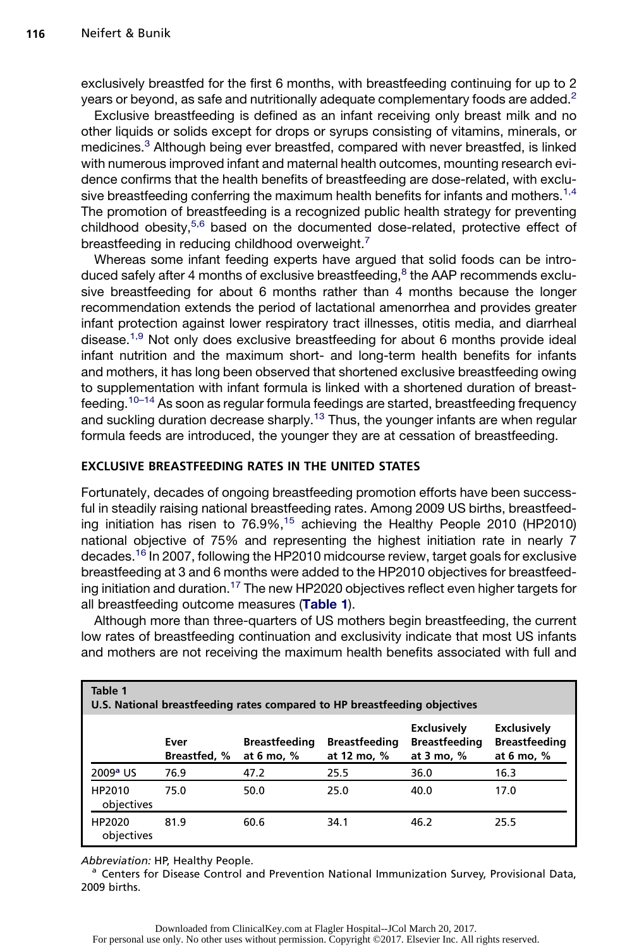exclusively breastfed for the first 6 months, with breastfeeding continuing for up to 2 years or beyond, as safe and nutritionally adequate complementary foods are added.<sup>[2](#page-23-0)</sup>

Exclusive breastfeeding is defined as an infant receiving only breast milk and no other liquids or solids except for drops or syrups consisting of vitamins, minerals, or medicines.[3](#page-23-0) Although being ever breastfed, compared with never breastfed, is linked with numerous improved infant and maternal health outcomes, mounting research evidence confirms that the health benefits of breastfeeding are dose-related, with exclu-sive breastfeeding conferring the maximum health benefits for infants and mothers.<sup>[1,4](#page-23-0)</sup> The promotion of breastfeeding is a recognized public health strategy for preventing childhood obesity, $5,6$  based on the documented dose-related, protective effect of breastfeeding in reducing childhood overweight.<sup>[7](#page-23-0)</sup>

Whereas some infant feeding experts have argued that solid foods can be intro-duced safely after 4 months of exclusive breastfeeding,<sup>[8](#page-23-0)</sup> the AAP recommends exclusive breastfeeding for about 6 months rather than 4 months because the longer recommendation extends the period of lactational amenorrhea and provides greater infant protection against lower respiratory tract illnesses, otitis media, and diarrheal disease.<sup>[1,9](#page-23-0)</sup> Not only does exclusive breastfeeding for about 6 months provide ideal infant nutrition and the maximum short- and long-term health benefits for infants and mothers, it has long been observed that shortened exclusive breastfeeding owing to supplementation with infant formula is linked with a shortened duration of breast $f_{\text{e}}$  feeding.<sup>[10–14](#page-24-0)</sup> As soon as regular formula feedings are started, breastfeeding frequency and suckling duration decrease sharply.<sup>[13](#page-24-0)</sup> Thus, the younger infants are when regular formula feeds are introduced, the younger they are at cessation of breastfeeding.

## EXCLUSIVE BREASTFEEDING RATES IN THE UNITED STATES

Fortunately, decades of ongoing breastfeeding promotion efforts have been successful in steadily raising national breastfeeding rates. Among 2009 US births, breastfeeding initiation has risen to  $76.9\%,^{15}$  $76.9\%,^{15}$  $76.9\%,^{15}$  achieving the Healthy People 2010 (HP2010) national objective of 75% and representing the highest initiation rate in nearly 7 decades.<sup>[16](#page-24-0)</sup> In 2007, following the HP2010 midcourse review, target goals for exclusive breastfeeding at 3 and 6 months were added to the HP2010 objectives for breastfeeding initiation and duration.<sup>17</sup> The new HP2020 objectives reflect even higher targets for all breastfeeding outcome measures (Table 1).

Although more than three-quarters of US mothers begin breastfeeding, the current low rates of breastfeeding continuation and exclusivity indicate that most US infants and mothers are not receiving the maximum health benefits associated with full and

| Table 1<br>U.S. National breastfeeding rates compared to HP breastfeeding objectives |                             |                                    |                                     |                                                                     |                                                          |
|--------------------------------------------------------------------------------------|-----------------------------|------------------------------------|-------------------------------------|---------------------------------------------------------------------|----------------------------------------------------------|
|                                                                                      | Ever<br><b>Breastfed, %</b> | <b>Breastfeeding</b><br>at 6 mo, % | <b>Breastfeeding</b><br>at 12 mo, % | <b>Exclusively</b><br><b>Breastfeeding</b><br>at $3 \text{ mo}$ , % | <b>Exclusively</b><br><b>Breastfeeding</b><br>at 6 mo, % |
| $2009a$ US                                                                           | 76.9                        | 47.2                               | 25.5                                | 36.0                                                                | 16.3                                                     |
| HP2010<br>objectives                                                                 | 75.0                        | 50.0                               | 25.0                                | 40.0                                                                | 17.0                                                     |
| HP2020<br>objectives                                                                 | 81.9                        | 60.6                               | 34.1                                | 46.2                                                                | 25.5                                                     |

Abbreviation: HP, Healthy People.<br>a Centers for Disease Control and Prevention National Immunization Survey, Provisional Data, 2009 births.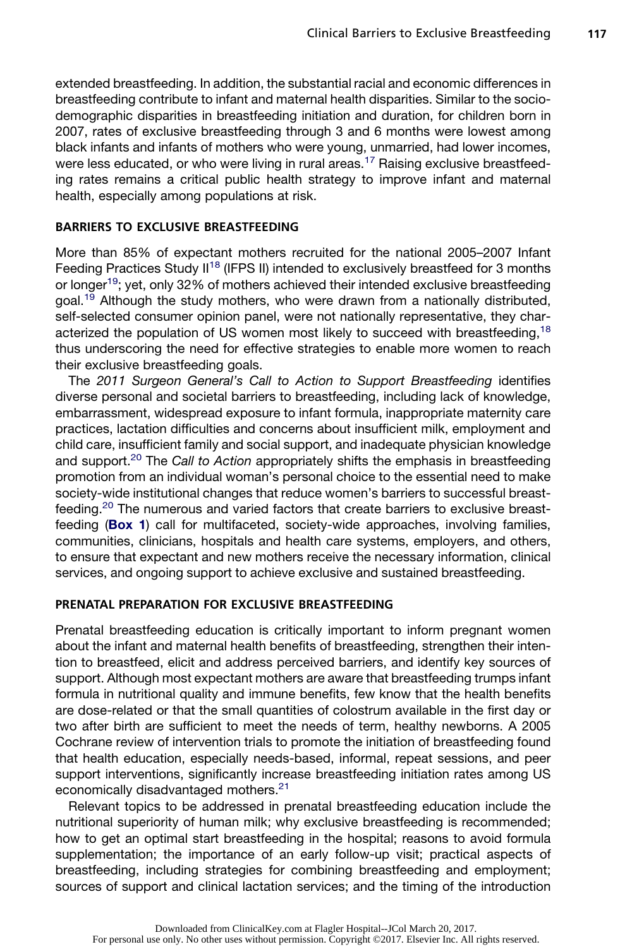extended breastfeeding. In addition, the substantial racial and economic differences in breastfeeding contribute to infant and maternal health disparities. Similar to the sociodemographic disparities in breastfeeding initiation and duration, for children born in 2007, rates of exclusive breastfeeding through 3 and 6 months were lowest among black infants and infants of mothers who were young, unmarried, had lower incomes, were less educated, or who were living in rural areas.<sup>17</sup> Raising exclusive breastfeeding rates remains a critical public health strategy to improve infant and maternal health, especially among populations at risk.

#### BARRIERS TO EXCLUSIVE BREASTFEEDING

More than 85% of expectant mothers recruited for the national 2005–2007 Infant Feeding Practices Study II<sup>[18](#page-24-0)</sup> (IFPS II) intended to exclusively breastfeed for 3 months or longer[19;](#page-24-0) yet, only 32% of mothers achieved their intended exclusive breastfeeding goal.<sup>[19](#page-24-0)</sup> Although the study mothers, who were drawn from a nationally distributed, self-selected consumer opinion panel, were not nationally representative, they char-acterized the population of US women most likely to succeed with breastfeeding,<sup>[18](#page-24-0)</sup> thus underscoring the need for effective strategies to enable more women to reach their exclusive breastfeeding goals.

The *2011 Surgeon General's Call to Action to Support Breastfeeding* identifies diverse personal and societal barriers to breastfeeding, including lack of knowledge, embarrassment, widespread exposure to infant formula, inappropriate maternity care practices, lactation difficulties and concerns about insufficient milk, employment and child care, insufficient family and social support, and inadequate physician knowledge and support.[20](#page-24-0) The *Call to Action* appropriately shifts the emphasis in breastfeeding promotion from an individual woman's personal choice to the essential need to make society-wide institutional changes that reduce women's barriers to successful breast-feeding.<sup>[20](#page-24-0)</sup> The numerous and varied factors that create barriers to exclusive breastfeeding ([Box 1](#page-3-0)) call for multifaceted, society-wide approaches, involving families, communities, clinicians, hospitals and health care systems, employers, and others, to ensure that expectant and new mothers receive the necessary information, clinical services, and ongoing support to achieve exclusive and sustained breastfeeding.

#### PRENATAL PREPARATION FOR EXCLUSIVE BREASTFEEDING

Prenatal breastfeeding education is critically important to inform pregnant women about the infant and maternal health benefits of breastfeeding, strengthen their intention to breastfeed, elicit and address perceived barriers, and identify key sources of support. Although most expectant mothers are aware that breastfeeding trumps infant formula in nutritional quality and immune benefits, few know that the health benefits are dose-related or that the small quantities of colostrum available in the first day or two after birth are sufficient to meet the needs of term, healthy newborns. A 2005 Cochrane review of intervention trials to promote the initiation of breastfeeding found that health education, especially needs-based, informal, repeat sessions, and peer support interventions, significantly increase breastfeeding initiation rates among US economically disadvantaged mothers.<sup>[21](#page-24-0)</sup>

Relevant topics to be addressed in prenatal breastfeeding education include the nutritional superiority of human milk; why exclusive breastfeeding is recommended; how to get an optimal start breastfeeding in the hospital; reasons to avoid formula supplementation; the importance of an early follow-up visit; practical aspects of breastfeeding, including strategies for combining breastfeeding and employment; sources of support and clinical lactation services; and the timing of the introduction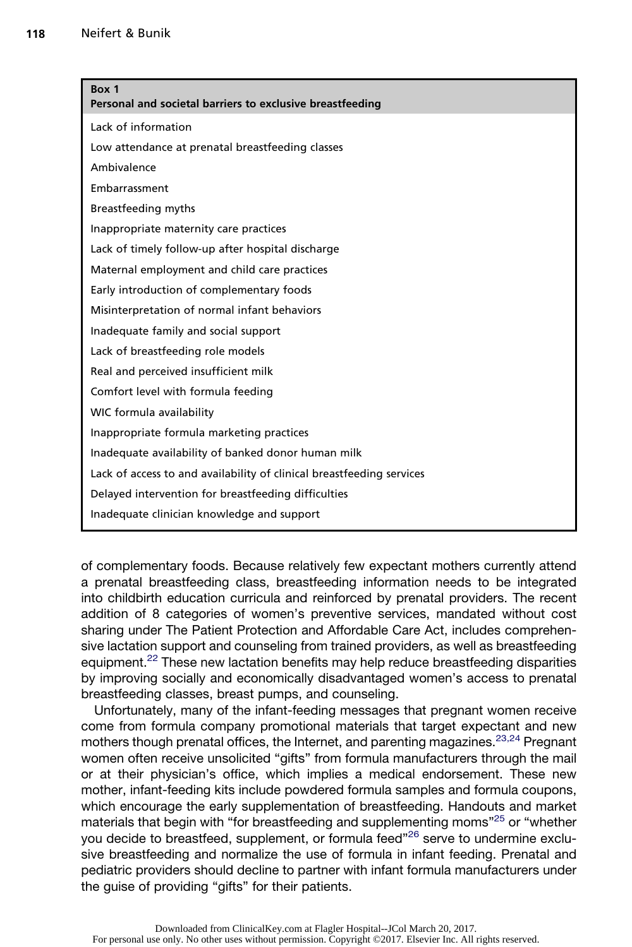<span id="page-3-0"></span>

| Box 1<br>Personal and societal barriers to exclusive breastfeeding    |  |  |  |  |
|-----------------------------------------------------------------------|--|--|--|--|
| Lack of information                                                   |  |  |  |  |
| Low attendance at prenatal breastfeeding classes                      |  |  |  |  |
| Ambivalence                                                           |  |  |  |  |
| Embarrassment                                                         |  |  |  |  |
| <b>Breastfeeding myths</b>                                            |  |  |  |  |
| Inappropriate maternity care practices                                |  |  |  |  |
| Lack of timely follow-up after hospital discharge                     |  |  |  |  |
| Maternal employment and child care practices                          |  |  |  |  |
| Early introduction of complementary foods                             |  |  |  |  |
| Misinterpretation of normal infant behaviors                          |  |  |  |  |
| Inadequate family and social support                                  |  |  |  |  |
| Lack of breastfeeding role models                                     |  |  |  |  |
| Real and perceived insufficient milk                                  |  |  |  |  |
| Comfort level with formula feeding                                    |  |  |  |  |
| WIC formula availability                                              |  |  |  |  |
| Inappropriate formula marketing practices                             |  |  |  |  |
| Inadequate availability of banked donor human milk                    |  |  |  |  |
| Lack of access to and availability of clinical breastfeeding services |  |  |  |  |
| Delayed intervention for breastfeeding difficulties                   |  |  |  |  |
| Inadequate clinician knowledge and support                            |  |  |  |  |

of complementary foods. Because relatively few expectant mothers currently attend a prenatal breastfeeding class, breastfeeding information needs to be integrated into childbirth education curricula and reinforced by prenatal providers. The recent addition of 8 categories of women's preventive services, mandated without cost sharing under The Patient Protection and Affordable Care Act, includes comprehensive lactation support and counseling from trained providers, as well as breastfeeding equipment.<sup>[22](#page-24-0)</sup> These new lactation benefits may help reduce breastfeeding disparities by improving socially and economically disadvantaged women's access to prenatal breastfeeding classes, breast pumps, and counseling.

Unfortunately, many of the infant-feeding messages that pregnant women receive come from formula company promotional materials that target expectant and new mothers though prenatal offices, the Internet, and parenting magazines.<sup>[23,24](#page-24-0)</sup> Pregnant women often receive unsolicited "gifts" from formula manufacturers through the mail or at their physician's office, which implies a medical endorsement. These new mother, infant-feeding kits include powdered formula samples and formula coupons, which encourage the early supplementation of breastfeeding. Handouts and market materials that begin with "for breastfeeding and supplementing moms"<sup>[25](#page-24-0)</sup> or "whether you decide to breastfeed, supplement, or formula feed"<sup>[26](#page-24-0)</sup> serve to undermine exclusive breastfeeding and normalize the use of formula in infant feeding. Prenatal and pediatric providers should decline to partner with infant formula manufacturers under the guise of providing "gifts" for their patients.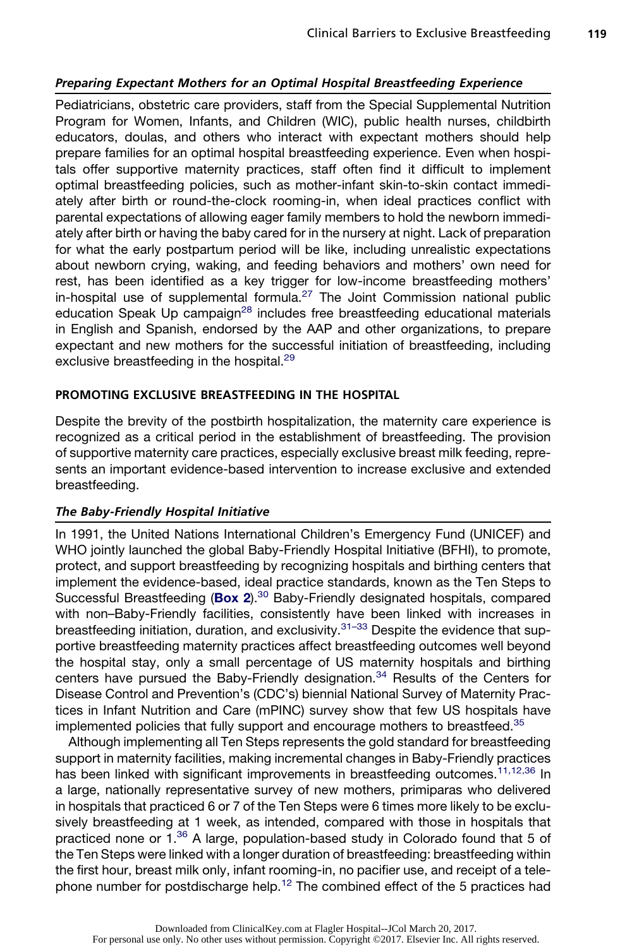# Preparing Expectant Mothers for an Optimal Hospital Breastfeeding Experience

Pediatricians, obstetric care providers, staff from the Special Supplemental Nutrition Program for Women, Infants, and Children (WIC), public health nurses, childbirth educators, doulas, and others who interact with expectant mothers should help prepare families for an optimal hospital breastfeeding experience. Even when hospitals offer supportive maternity practices, staff often find it difficult to implement optimal breastfeeding policies, such as mother-infant skin-to-skin contact immediately after birth or round-the-clock rooming-in, when ideal practices conflict with parental expectations of allowing eager family members to hold the newborn immediately after birth or having the baby cared for in the nursery at night. Lack of preparation for what the early postpartum period will be like, including unrealistic expectations about newborn crying, waking, and feeding behaviors and mothers' own need for rest, has been identified as a key trigger for low-income breastfeeding mothers'  $in$ -hospital use of supplemental formula.<sup>27</sup> The Joint Commission national public education Speak Up campaign<sup>[28](#page-24-0)</sup> includes free breastfeeding educational materials in English and Spanish, endorsed by the AAP and other organizations, to prepare expectant and new mothers for the successful initiation of breastfeeding, including exclusive breastfeeding in the hospital.<sup>[29](#page-24-0)</sup>

## PROMOTING EXCLUSIVE BREASTFEEDING IN THE HOSPITAL

Despite the brevity of the postbirth hospitalization, the maternity care experience is recognized as a critical period in the establishment of breastfeeding. The provision of supportive maternity care practices, especially exclusive breast milk feeding, represents an important evidence-based intervention to increase exclusive and extended breastfeeding.

## The Baby-Friendly Hospital Initiative

In 1991, the United Nations International Children's Emergency Fund (UNICEF) and WHO jointly launched the global Baby-Friendly Hospital Initiative (BFHI), to promote, protect, and support breastfeeding by recognizing hospitals and birthing centers that implement the evidence-based, ideal practice standards, known as the Ten Steps to Successful Breastfeeding ([Box 2](#page-5-0)).<sup>[30](#page-25-0)</sup> Baby-Friendly designated hospitals, compared with non–Baby-Friendly facilities, consistently have been linked with increases in breastfeeding initiation, duration, and exclusivity. $31-33$  Despite the evidence that supportive breastfeeding maternity practices affect breastfeeding outcomes well beyond the hospital stay, only a small percentage of US maternity hospitals and birthing centers have pursued the Baby-Friendly designation. $34$  Results of the Centers for Disease Control and Prevention's (CDC's) biennial National Survey of Maternity Practices in Infant Nutrition and Care (mPINC) survey show that few US hospitals have implemented policies that fully support and encourage mothers to breastfeed.<sup>[35](#page-25-0)</sup>

Although implementing all Ten Steps represents the gold standard for breastfeeding support in maternity facilities, making incremental changes in Baby-Friendly practices has been linked with significant improvements in breastfeeding outcomes.<sup>[11,12,36](#page-24-0)</sup> In a large, nationally representative survey of new mothers, primiparas who delivered in hospitals that practiced 6 or 7 of the Ten Steps were 6 times more likely to be exclusively breastfeeding at 1 week, as intended, compared with those in hospitals that practiced none or 1.[36](#page-25-0) A large, population-based study in Colorado found that 5 of the Ten Steps were linked with a longer duration of breastfeeding: breastfeeding within the first hour, breast milk only, infant rooming-in, no pacifier use, and receipt of a tele-phone number for postdischarge help.<sup>[12](#page-24-0)</sup> The combined effect of the 5 practices had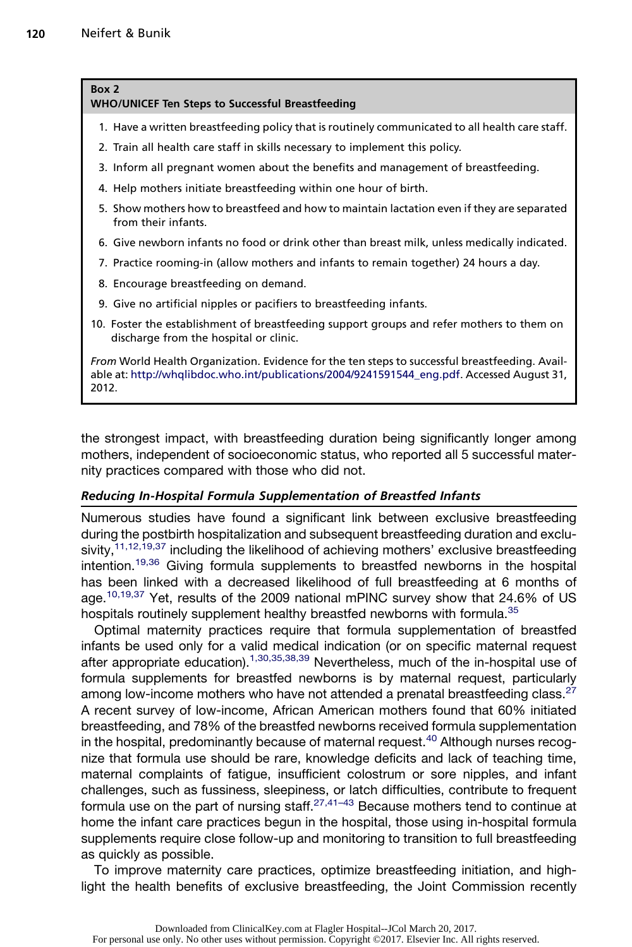#### <span id="page-5-0"></span>Box 2

WHO/UNICEF Ten Steps to Successful Breastfeeding

- 1. Have a written breastfeeding policy that is routinely communicated to all health care staff.
- 2. Train all health care staff in skills necessary to implement this policy.
- 3. Inform all pregnant women about the benefits and management of breastfeeding.
- 4. Help mothers initiate breastfeeding within one hour of birth.
- 5. Show mothers how to breastfeed and how to maintain lactation even if they are separated from their infants.
- 6. Give newborn infants no food or drink other than breast milk, unless medically indicated.
- 7. Practice rooming-in (allow mothers and infants to remain together) 24 hours a day.
- 8. Encourage breastfeeding on demand.
- 9. Give no artificial nipples or pacifiers to breastfeeding infants.
- 10. Foster the establishment of breastfeeding support groups and refer mothers to them on discharge from the hospital or clinic.

From World Health Organization. Evidence for the ten steps to successful breastfeeding. Available at: [http://whqlibdoc.who.int/publications/2004/9241591544\\_eng.pdf.](http://whqlibdoc.who.int/publications/2004/9241591544_eng.pdf) Accessed August 31, 2012.

the strongest impact, with breastfeeding duration being significantly longer among mothers, independent of socioeconomic status, who reported all 5 successful maternity practices compared with those who did not.

#### Reducing In-Hospital Formula Supplementation of Breastfed Infants

Numerous studies have found a significant link between exclusive breastfeeding during the postbirth hospitalization and subsequent breastfeeding duration and exclu $sivity$ ,  $11,12,19,37$  including the likelihood of achieving mothers' exclusive breastfeeding intention.[19,36](#page-24-0) Giving formula supplements to breastfed newborns in the hospital has been linked with a decreased likelihood of full breastfeeding at 6 months of age.<sup>[10,19,37](#page-24-0)</sup> Yet, results of the 2009 national mPINC survey show that 24.6% of US hospitals routinely supplement healthy breastfed newborns with formula.<sup>[35](#page-25-0)</sup>

Optimal maternity practices require that formula supplementation of breastfed infants be used only for a valid medical indication (or on specific maternal request after appropriate education).<sup>[1,30,35,38,39](#page-23-0)</sup> Nevertheless, much of the in-hospital use of formula supplements for breastfed newborns is by maternal request, particularly among low-income mothers who have not attended a prenatal breastfeeding class.<sup>[27](#page-24-0)</sup> A recent survey of low-income, African American mothers found that 60% initiated breastfeeding, and 78% of the breastfed newborns received formula supplementation in the hospital, predominantly because of maternal request.<sup>[40](#page-25-0)</sup> Although nurses recognize that formula use should be rare, knowledge deficits and lack of teaching time, maternal complaints of fatigue, insufficient colostrum or sore nipples, and infant challenges, such as fussiness, sleepiness, or latch difficulties, contribute to frequent formula use on the part of nursing staff. $27,41-43$  Because mothers tend to continue at home the infant care practices begun in the hospital, those using in-hospital formula supplements require close follow-up and monitoring to transition to full breastfeeding as quickly as possible.

To improve maternity care practices, optimize breastfeeding initiation, and highlight the health benefits of exclusive breastfeeding, the Joint Commission recently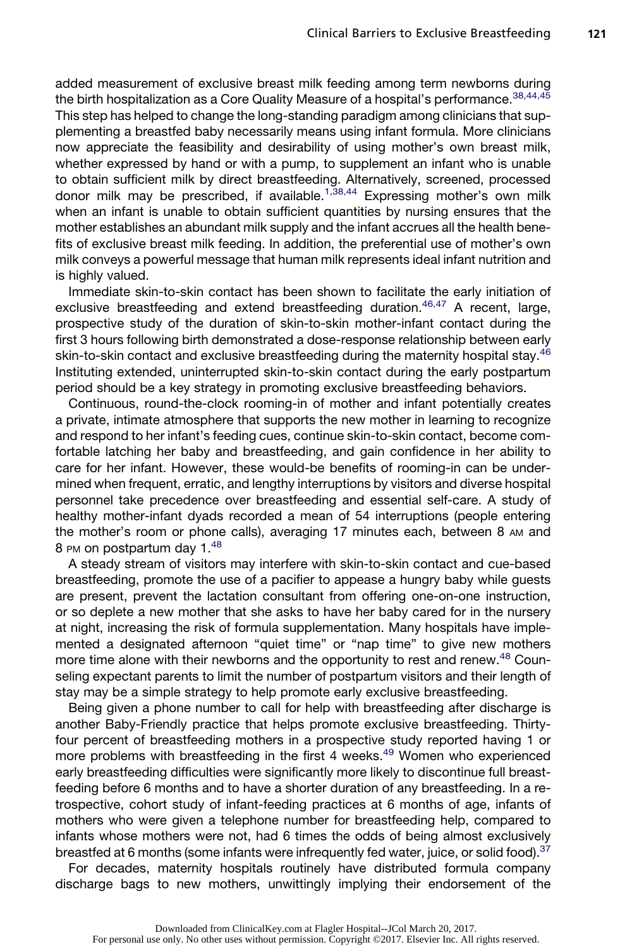added measurement of exclusive breast milk feeding among term newborns during the birth hospitalization as a Core Quality Measure of a hospital's performance.<sup>[38,44,45](#page-25-0)</sup> This step has helped to change the long-standing paradigm among clinicians that supplementing a breastfed baby necessarily means using infant formula. More clinicians now appreciate the feasibility and desirability of using mother's own breast milk, whether expressed by hand or with a pump, to supplement an infant who is unable to obtain sufficient milk by direct breastfeeding. Alternatively, screened, processed donor milk may be prescribed, if available.<sup>[1,38,44](#page-23-0)</sup> Expressing mother's own milk when an infant is unable to obtain sufficient quantities by nursing ensures that the mother establishes an abundant milk supply and the infant accrues all the health benefits of exclusive breast milk feeding. In addition, the preferential use of mother's own milk conveys a powerful message that human milk represents ideal infant nutrition and is highly valued.

Immediate skin-to-skin contact has been shown to facilitate the early initiation of exclusive breastfeeding and extend breastfeeding duration.<sup>[46,47](#page-25-0)</sup> A recent, large, prospective study of the duration of skin-to-skin mother-infant contact during the first 3 hours following birth demonstrated a dose-response relationship between early skin-to-skin contact and exclusive breastfeeding during the maternity hospital stay.<sup>[46](#page-25-0)</sup> Instituting extended, uninterrupted skin-to-skin contact during the early postpartum period should be a key strategy in promoting exclusive breastfeeding behaviors.

Continuous, round-the-clock rooming-in of mother and infant potentially creates a private, intimate atmosphere that supports the new mother in learning to recognize and respond to her infant's feeding cues, continue skin-to-skin contact, become comfortable latching her baby and breastfeeding, and gain confidence in her ability to care for her infant. However, these would-be benefits of rooming-in can be undermined when frequent, erratic, and lengthy interruptions by visitors and diverse hospital personnel take precedence over breastfeeding and essential self-care. A study of healthy mother-infant dyads recorded a mean of 54 interruptions (people entering the mother's room or phone calls), averaging 17 minutes each, between 8 AM and 8 PM on postpartum day 1.[48](#page-25-0)

A steady stream of visitors may interfere with skin-to-skin contact and cue-based breastfeeding, promote the use of a pacifier to appease a hungry baby while guests are present, prevent the lactation consultant from offering one-on-one instruction, or so deplete a new mother that she asks to have her baby cared for in the nursery at night, increasing the risk of formula supplementation. Many hospitals have implemented a designated afternoon "quiet time" or "nap time" to give new mothers more time alone with their newborns and the opportunity to rest and renew.<sup>[48](#page-25-0)</sup> Counseling expectant parents to limit the number of postpartum visitors and their length of stay may be a simple strategy to help promote early exclusive breastfeeding.

Being given a phone number to call for help with breastfeeding after discharge is another Baby-Friendly practice that helps promote exclusive breastfeeding. Thirtyfour percent of breastfeeding mothers in a prospective study reported having 1 or more problems with breastfeeding in the first 4 weeks.<sup>[49](#page-26-0)</sup> Women who experienced early breastfeeding difficulties were significantly more likely to discontinue full breastfeeding before 6 months and to have a shorter duration of any breastfeeding. In a retrospective, cohort study of infant-feeding practices at 6 months of age, infants of mothers who were given a telephone number for breastfeeding help, compared to infants whose mothers were not, had 6 times the odds of being almost exclusively breastfed at 6 months (some infants were infrequently fed water, juice, or solid food).<sup>[37](#page-25-0)</sup>

For decades, maternity hospitals routinely have distributed formula company discharge bags to new mothers, unwittingly implying their endorsement of the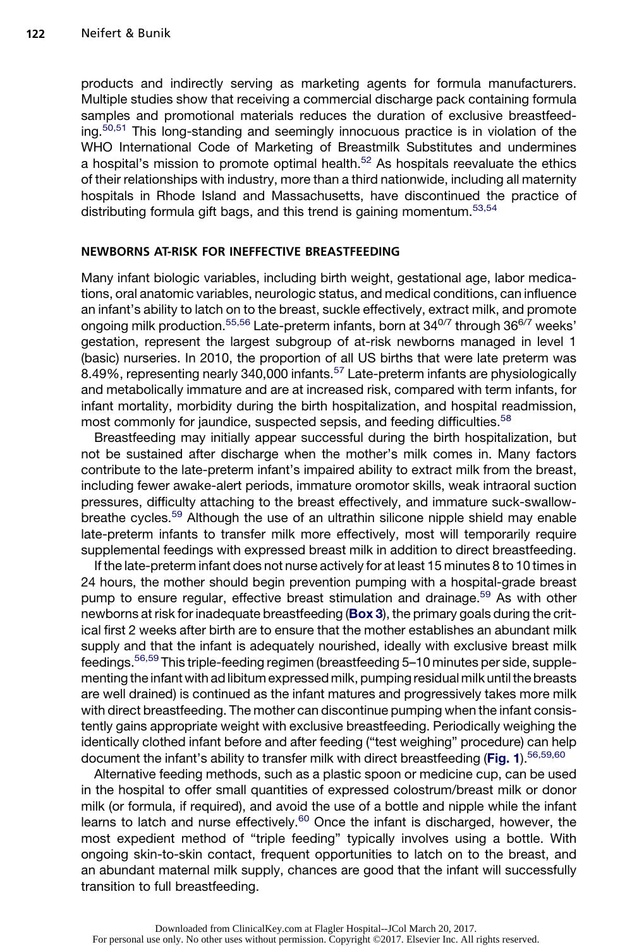products and indirectly serving as marketing agents for formula manufacturers. Multiple studies show that receiving a commercial discharge pack containing formula samples and promotional materials reduces the duration of exclusive breastfeed-ing.<sup>[50,51](#page-26-0)</sup> This long-standing and seemingly innocuous practice is in violation of the WHO International Code of Marketing of Breastmilk Substitutes and undermines a hospital's mission to promote optimal health.<sup>[52](#page-26-0)</sup> As hospitals reevaluate the ethics of their relationships with industry, more than a third nationwide, including all maternity hospitals in Rhode Island and Massachusetts, have discontinued the practice of distributing formula gift bags, and this trend is gaining momentum.<sup>[53,54](#page-26-0)</sup>

#### NEWBORNS AT-RISK FOR INEFFECTIVE BREASTFEEDING

Many infant biologic variables, including birth weight, gestational age, labor medications, oral anatomic variables, neurologic status, and medical conditions, can influence an infant's ability to latch on to the breast, suckle effectively, extract milk, and promote ongoing milk production.<sup>[55,56](#page-26-0)</sup> Late-preterm infants, born at  $34^{0/7}$  through  $36^{6/7}$  weeks' gestation, represent the largest subgroup of at-risk newborns managed in level 1 (basic) nurseries. In 2010, the proportion of all US births that were late preterm was 8.49%, representing nearly 340,000 infants.<sup>[57](#page-26-0)</sup> Late-preterm infants are physiologically and metabolically immature and are at increased risk, compared with term infants, for infant mortality, morbidity during the birth hospitalization, and hospital readmission, most commonly for jaundice, suspected sepsis, and feeding difficulties.<sup>[58](#page-26-0)</sup>

Breastfeeding may initially appear successful during the birth hospitalization, but not be sustained after discharge when the mother's milk comes in. Many factors contribute to the late-preterm infant's impaired ability to extract milk from the breast, including fewer awake-alert periods, immature oromotor skills, weak intraoral suction pressures, difficulty attaching to the breast effectively, and immature suck-swallowbreathe cycles.[59](#page-26-0) Although the use of an ultrathin silicone nipple shield may enable late-preterm infants to transfer milk more effectively, most will temporarily require supplemental feedings with expressed breast milk in addition to direct breastfeeding.

If the late-preterm infant does not nurse actively for at least 15 minutes 8 to 10 times in 24 hours, the mother should begin prevention pumping with a hospital-grade breast pump to ensure regular, effective breast stimulation and drainage.<sup>59</sup> As with other newborns at risk for inadequate breastfeeding ([Box 3](#page-8-0)), the primary goals during the critical first 2 weeks after birth are to ensure that the mother establishes an abundant milk supply and that the infant is adequately nourished, ideally with exclusive breast milk feedings.<sup>[56,59](#page-26-0)</sup> This triple-feeding regimen (breastfeeding 5-10 minutes per side, supplementing the infant with ad libitum expressedmilk, pumping residual milk until the breasts are well drained) is continued as the infant matures and progressively takes more milk with direct breastfeeding. The mother can discontinue pumping when the infant consistently gains appropriate weight with exclusive breastfeeding. Periodically weighing the identically clothed infant before and after feeding ("test weighing" procedure) can help document the infant's ability to transfer milk with direct breastfeeding ([Fig. 1](#page-8-0)).<sup>56,59,60</sup>

Alternative feeding methods, such as a plastic spoon or medicine cup, can be used in the hospital to offer small quantities of expressed colostrum/breast milk or donor milk (or formula, if required), and avoid the use of a bottle and nipple while the infant learns to latch and nurse effectively. $60$  Once the infant is discharged, however, the most expedient method of "triple feeding" typically involves using a bottle. With ongoing skin-to-skin contact, frequent opportunities to latch on to the breast, and an abundant maternal milk supply, chances are good that the infant will successfully transition to full breastfeeding.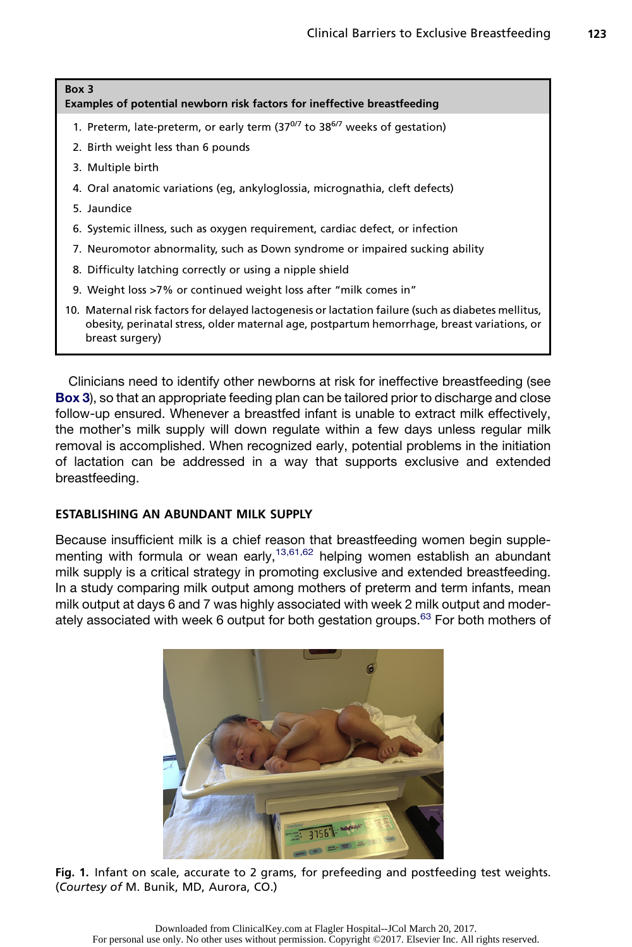<span id="page-8-0"></span>

| Box 3<br>Examples of potential newborn risk factors for ineffective breastfeeding                                                                                                                                     |  |  |  |
|-----------------------------------------------------------------------------------------------------------------------------------------------------------------------------------------------------------------------|--|--|--|
| 1. Preterm, late-preterm, or early term (370/7 to 38 <sup>6/7</sup> weeks of gestation)                                                                                                                               |  |  |  |
| 2. Birth weight less than 6 pounds                                                                                                                                                                                    |  |  |  |
| 3. Multiple birth                                                                                                                                                                                                     |  |  |  |
| 4. Oral anatomic variations (eg, ankyloglossia, micrognathia, cleft defects)                                                                                                                                          |  |  |  |
| 5. Jaundice                                                                                                                                                                                                           |  |  |  |
| 6. Systemic illness, such as oxygen requirement, cardiac defect, or infection                                                                                                                                         |  |  |  |
| 7. Neuromotor abnormality, such as Down syndrome or impaired sucking ability                                                                                                                                          |  |  |  |
| 8. Difficulty latching correctly or using a nipple shield                                                                                                                                                             |  |  |  |
| 9. Weight loss >7% or continued weight loss after "milk comes in"                                                                                                                                                     |  |  |  |
| 10. Maternal risk factors for delayed lactogenesis or lactation failure (such as diabetes mellitus,<br>obesity, perinatal stress, older maternal age, postpartum hemorrhage, breast variations, or<br>breast surgery) |  |  |  |

Clinicians need to identify other newborns at risk for ineffective breastfeeding (see Box 3), so that an appropriate feeding plan can be tailored prior to discharge and close follow-up ensured. Whenever a breastfed infant is unable to extract milk effectively, the mother's milk supply will down regulate within a few days unless regular milk removal is accomplished. When recognized early, potential problems in the initiation of lactation can be addressed in a way that supports exclusive and extended breastfeeding.

## ESTABLISHING AN ABUNDANT MILK SUPPLY

Because insufficient milk is a chief reason that breastfeeding women begin supplementing with formula or wean early,  $13,61,62$  helping women establish an abundant milk supply is a critical strategy in promoting exclusive and extended breastfeeding. In a study comparing milk output among mothers of preterm and term infants, mean milk output at days 6 and 7 was highly associated with week 2 milk output and moder-ately associated with week 6 output for both gestation groups.<sup>[63](#page-26-0)</sup> For both mothers of



Fig. 1. Infant on scale, accurate to 2 grams, for prefeeding and postfeeding test weights. (Courtesy of M. Bunik, MD, Aurora, CO.)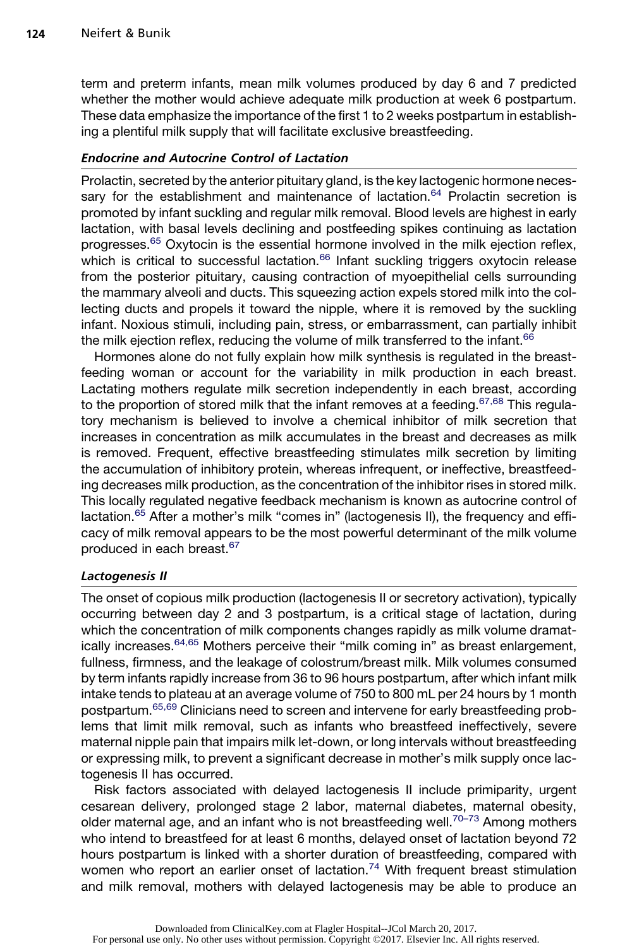term and preterm infants, mean milk volumes produced by day 6 and 7 predicted whether the mother would achieve adequate milk production at week 6 postpartum. These data emphasize the importance of the first 1 to 2 weeks postpartum in establishing a plentiful milk supply that will facilitate exclusive breastfeeding.

## Endocrine and Autocrine Control of Lactation

Prolactin, secreted by the anterior pituitary gland, is the key lactogenic hormone necessary for the establishment and maintenance of lactation. $64$  Prolactin secretion is promoted by infant suckling and regular milk removal. Blood levels are highest in early lactation, with basal levels declining and postfeeding spikes continuing as lactation progresses.[65](#page-26-0) Oxytocin is the essential hormone involved in the milk ejection reflex, which is critical to successful lactation. $66$  Infant suckling triggers oxytocin release from the posterior pituitary, causing contraction of myoepithelial cells surrounding the mammary alveoli and ducts. This squeezing action expels stored milk into the collecting ducts and propels it toward the nipple, where it is removed by the suckling infant. Noxious stimuli, including pain, stress, or embarrassment, can partially inhibit the milk ejection reflex, reducing the volume of milk transferred to the infant.<sup>[66](#page-26-0)</sup>

Hormones alone do not fully explain how milk synthesis is regulated in the breastfeeding woman or account for the variability in milk production in each breast. Lactating mothers regulate milk secretion independently in each breast, according to the proportion of stored milk that the infant removes at a feeding. $67,68$  This regulatory mechanism is believed to involve a chemical inhibitor of milk secretion that increases in concentration as milk accumulates in the breast and decreases as milk is removed. Frequent, effective breastfeeding stimulates milk secretion by limiting the accumulation of inhibitory protein, whereas infrequent, or ineffective, breastfeeding decreases milk production, as the concentration of the inhibitor rises in stored milk. This locally regulated negative feedback mechanism is known as autocrine control of lactation.<sup>[65](#page-26-0)</sup> After a mother's milk "comes in" (lactogenesis II), the frequency and efficacy of milk removal appears to be the most powerful determinant of the milk volume produced in each breast.<sup>[67](#page-26-0)</sup>

## Lactogenesis II

The onset of copious milk production (lactogenesis II or secretory activation), typically occurring between day 2 and 3 postpartum, is a critical stage of lactation, during which the concentration of milk components changes rapidly as milk volume dramatically increases. $64,65$  Mothers perceive their "milk coming in" as breast enlargement, fullness, firmness, and the leakage of colostrum/breast milk. Milk volumes consumed by term infants rapidly increase from 36 to 96 hours postpartum, after which infant milk intake tends to plateau at an average volume of 750 to 800 mL per 24 hours by 1 month postpartum.[65,69](#page-26-0) Clinicians need to screen and intervene for early breastfeeding problems that limit milk removal, such as infants who breastfeed ineffectively, severe maternal nipple pain that impairs milk let-down, or long intervals without breastfeeding or expressing milk, to prevent a significant decrease in mother's milk supply once lactogenesis II has occurred.

Risk factors associated with delayed lactogenesis II include primiparity, urgent cesarean delivery, prolonged stage 2 labor, maternal diabetes, maternal obesity, older maternal age, and an infant who is not breastfeeding well.<sup>70-73</sup> Among mothers who intend to breastfeed for at least 6 months, delayed onset of lactation beyond 72 hours postpartum is linked with a shorter duration of breastfeeding, compared with women who report an earlier onset of lactation.<sup>[74](#page-27-0)</sup> With frequent breast stimulation and milk removal, mothers with delayed lactogenesis may be able to produce an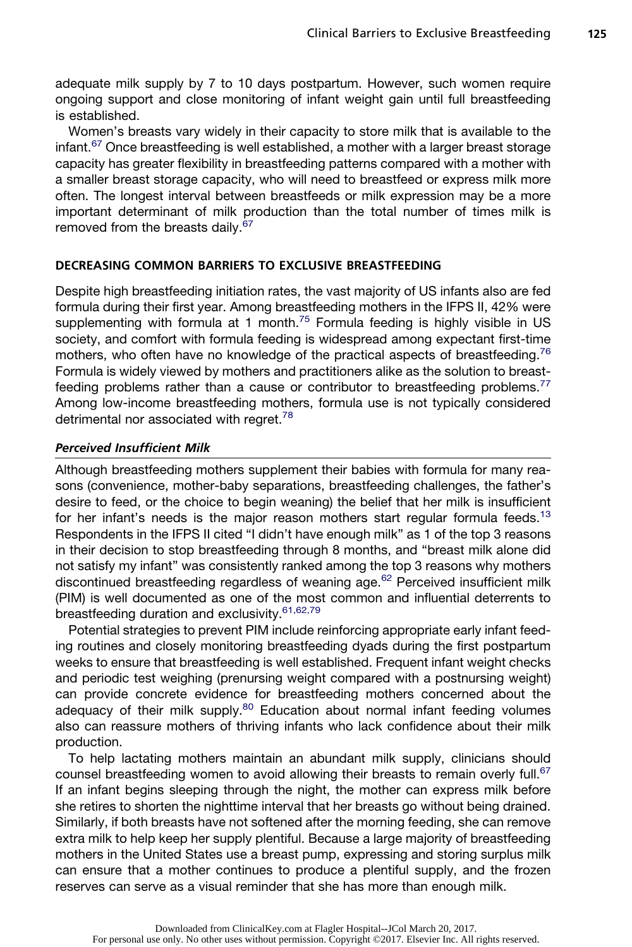adequate milk supply by 7 to 10 days postpartum. However, such women require ongoing support and close monitoring of infant weight gain until full breastfeeding is established.

Women's breasts vary widely in their capacity to store milk that is available to the infant. $67$  Once breastfeeding is well established, a mother with a larger breast storage capacity has greater flexibility in breastfeeding patterns compared with a mother with a smaller breast storage capacity, who will need to breastfeed or express milk more often. The longest interval between breastfeeds or milk expression may be a more important determinant of milk production than the total number of times milk is removed from the breasts daily.<sup>[67](#page-26-0)</sup>

#### DECREASING COMMON BARRIERS TO EXCLUSIVE BREASTFEEDING

Despite high breastfeeding initiation rates, the vast majority of US infants also are fed formula during their first year. Among breastfeeding mothers in the IFPS II, 42% were supplementing with formula at 1 month.<sup>[75](#page-27-0)</sup> Formula feeding is highly visible in US society, and comfort with formula feeding is widespread among expectant first-time mothers, who often have no knowledge of the practical aspects of breastfeeding.<sup>[76](#page-27-0)</sup> Formula is widely viewed by mothers and practitioners alike as the solution to breast-feeding problems rather than a cause or contributor to breastfeeding problems.<sup>[77](#page-27-0)</sup> Among low-income breastfeeding mothers, formula use is not typically considered detrimental nor associated with regret.<sup>[78](#page-27-0)</sup>

#### Perceived Insufficient Milk

Although breastfeeding mothers supplement their babies with formula for many reasons (convenience, mother-baby separations, breastfeeding challenges, the father's desire to feed, or the choice to begin weaning) the belief that her milk is insufficient for her infant's needs is the major reason mothers start regular formula feeds.<sup>[13](#page-24-0)</sup> Respondents in the IFPS II cited "I didn't have enough milk" as 1 of the top 3 reasons in their decision to stop breastfeeding through 8 months, and "breast milk alone did not satisfy my infant" was consistently ranked among the top 3 reasons why mothers discontinued breastfeeding regardless of weaning age. $62$  Perceived insufficient milk (PIM) is well documented as one of the most common and influential deterrents to breastfeeding duration and exclusivity.<sup>[61,62,79](#page-26-0)</sup>

Potential strategies to prevent PIM include reinforcing appropriate early infant feeding routines and closely monitoring breastfeeding dyads during the first postpartum weeks to ensure that breastfeeding is well established. Frequent infant weight checks and periodic test weighing (prenursing weight compared with a postnursing weight) can provide concrete evidence for breastfeeding mothers concerned about the adequacy of their milk supply. $80$  Education about normal infant feeding volumes also can reassure mothers of thriving infants who lack confidence about their milk production.

To help lactating mothers maintain an abundant milk supply, clinicians should counsel breastfeeding women to avoid allowing their breasts to remain overly full.<sup>[67](#page-26-0)</sup> If an infant begins sleeping through the night, the mother can express milk before she retires to shorten the nighttime interval that her breasts go without being drained. Similarly, if both breasts have not softened after the morning feeding, she can remove extra milk to help keep her supply plentiful. Because a large majority of breastfeeding mothers in the United States use a breast pump, expressing and storing surplus milk can ensure that a mother continues to produce a plentiful supply, and the frozen reserves can serve as a visual reminder that she has more than enough milk.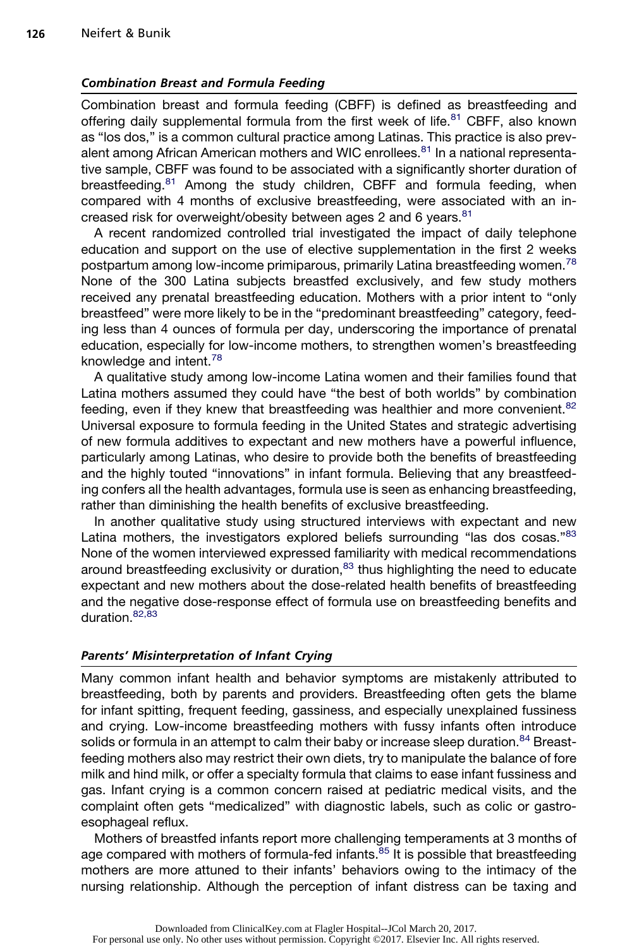#### Combination Breast and Formula Feeding

Combination breast and formula feeding (CBFF) is defined as breastfeeding and offering daily supplemental formula from the first week of life.<sup>[81](#page-27-0)</sup> CBFF, also known as "los dos," is a common cultural practice among Latinas. This practice is also prev-alent among African American mothers and WIC enrollees.<sup>[81](#page-27-0)</sup> In a national representative sample, CBFF was found to be associated with a significantly shorter duration of breastfeeding.<sup>[81](#page-27-0)</sup> Among the study children, CBFF and formula feeding, when compared with 4 months of exclusive breastfeeding, were associated with an in-creased risk for overweight/obesity between ages 2 and 6 years.<sup>[81](#page-27-0)</sup>

A recent randomized controlled trial investigated the impact of daily telephone education and support on the use of elective supplementation in the first 2 weeks postpartum among low-income primiparous, primarily Latina breastfeeding women.<sup>[78](#page-27-0)</sup> None of the 300 Latina subjects breastfed exclusively, and few study mothers received any prenatal breastfeeding education. Mothers with a prior intent to "only breastfeed" were more likely to be in the "predominant breastfeeding" category, feeding less than 4 ounces of formula per day, underscoring the importance of prenatal education, especially for low-income mothers, to strengthen women's breastfeeding knowledge and intent.<sup>[78](#page-27-0)</sup>

A qualitative study among low-income Latina women and their families found that Latina mothers assumed they could have "the best of both worlds" by combination feeding, even if they knew that breastfeeding was healthier and more convenient.<sup>[82](#page-27-0)</sup> Universal exposure to formula feeding in the United States and strategic advertising of new formula additives to expectant and new mothers have a powerful influence, particularly among Latinas, who desire to provide both the benefits of breastfeeding and the highly touted "innovations" in infant formula. Believing that any breastfeeding confers all the health advantages, formula use is seen as enhancing breastfeeding, rather than diminishing the health benefits of exclusive breastfeeding.

In another qualitative study using structured interviews with expectant and new Latina mothers, the investigators explored beliefs surrounding "las dos cosas."[83](#page-27-0) None of the women interviewed expressed familiarity with medical recommendations around breastfeeding exclusivity or duration, $83$  thus highlighting the need to educate expectant and new mothers about the dose-related health benefits of breastfeeding and the negative dose-response effect of formula use on breastfeeding benefits and duration.<sup>[82,83](#page-27-0)</sup>

#### Parents' Misinterpretation of Infant Crying

Many common infant health and behavior symptoms are mistakenly attributed to breastfeeding, both by parents and providers. Breastfeeding often gets the blame for infant spitting, frequent feeding, gassiness, and especially unexplained fussiness and crying. Low-income breastfeeding mothers with fussy infants often introduce solids or formula in an attempt to calm their baby or increase sleep duration.<sup>84</sup> Breastfeeding mothers also may restrict their own diets, try to manipulate the balance of fore milk and hind milk, or offer a specialty formula that claims to ease infant fussiness and gas. Infant crying is a common concern raised at pediatric medical visits, and the complaint often gets "medicalized" with diagnostic labels, such as colic or gastroesophageal reflux.

Mothers of breastfed infants report more challenging temperaments at 3 months of age compared with mothers of formula-fed infants.<sup>[85](#page-27-0)</sup> It is possible that breastfeeding mothers are more attuned to their infants' behaviors owing to the intimacy of the nursing relationship. Although the perception of infant distress can be taxing and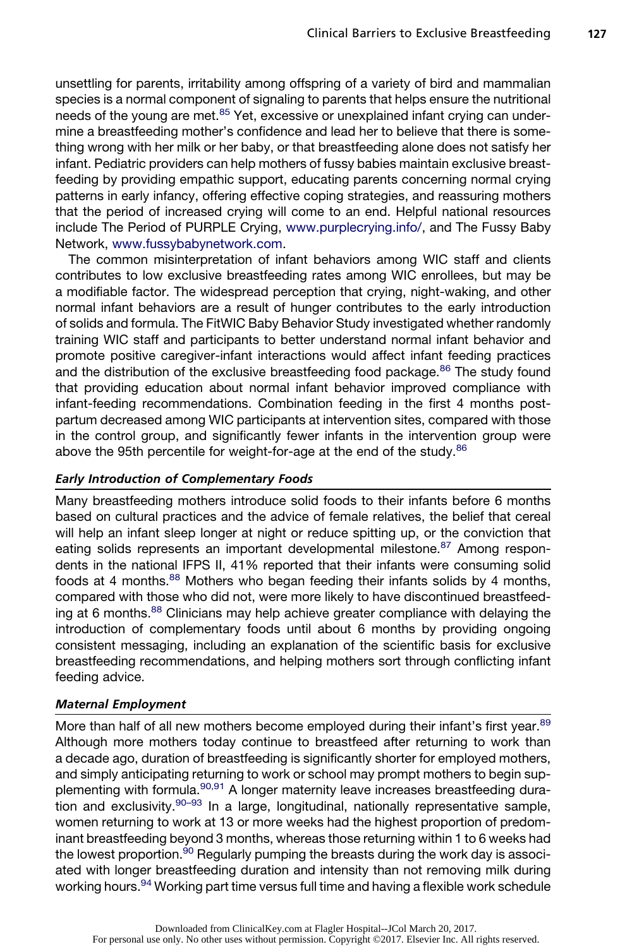unsettling for parents, irritability among offspring of a variety of bird and mammalian species is a normal component of signaling to parents that helps ensure the nutritional needs of the young are met.<sup>[85](#page-27-0)</sup> Yet, excessive or unexplained infant crying can undermine a breastfeeding mother's confidence and lead her to believe that there is something wrong with her milk or her baby, or that breastfeeding alone does not satisfy her infant. Pediatric providers can help mothers of fussy babies maintain exclusive breastfeeding by providing empathic support, educating parents concerning normal crying patterns in early infancy, offering effective coping strategies, and reassuring mothers that the period of increased crying will come to an end. Helpful national resources include The Period of PURPLE Crying, [www.purplecrying.info/](http://www.purplecrying.info/), and The Fussy Baby Network, [www.fussybabynetwork.com](http://www.fussybabynetwork.com).

The common misinterpretation of infant behaviors among WIC staff and clients contributes to low exclusive breastfeeding rates among WIC enrollees, but may be a modifiable factor. The widespread perception that crying, night-waking, and other normal infant behaviors are a result of hunger contributes to the early introduction of solids and formula. The FitWIC Baby Behavior Study investigated whether randomly training WIC staff and participants to better understand normal infant behavior and promote positive caregiver-infant interactions would affect infant feeding practices and the distribution of the exclusive breastfeeding food package. $86$  The study found that providing education about normal infant behavior improved compliance with infant-feeding recommendations. Combination feeding in the first 4 months postpartum decreased among WIC participants at intervention sites, compared with those in the control group, and significantly fewer infants in the intervention group were above the 95th percentile for weight-for-age at the end of the study.<sup>[86](#page-28-0)</sup>

#### Early Introduction of Complementary Foods

Many breastfeeding mothers introduce solid foods to their infants before 6 months based on cultural practices and the advice of female relatives, the belief that cereal will help an infant sleep longer at night or reduce spitting up, or the conviction that eating solids represents an important developmental milestone.<sup>[87](#page-28-0)</sup> Among respondents in the national IFPS II, 41% reported that their infants were consuming solid foods at 4 months. ${}^{88}$  ${}^{88}$  ${}^{88}$  Mothers who began feeding their infants solids by 4 months, compared with those who did not, were more likely to have discontinued breastfeed-ing at 6 months.<sup>[88](#page-28-0)</sup> Clinicians may help achieve greater compliance with delaying the introduction of complementary foods until about 6 months by providing ongoing consistent messaging, including an explanation of the scientific basis for exclusive breastfeeding recommendations, and helping mothers sort through conflicting infant feeding advice.

## Maternal Employment

More than half of all new mothers become employed during their infant's first year.<sup>89</sup> Although more mothers today continue to breastfeed after returning to work than a decade ago, duration of breastfeeding is significantly shorter for employed mothers, and simply anticipating returning to work or school may prompt mothers to begin sup-plementing with formula.<sup>[90,91](#page-28-0)</sup> A longer maternity leave increases breastfeeding duration and exclusivity. $90-93$  In a large, longitudinal, nationally representative sample, women returning to work at 13 or more weeks had the highest proportion of predominant breastfeeding beyond 3 months, whereas those returning within 1 to 6 weeks had the lowest proportion. $90$  Regularly pumping the breasts during the work day is associated with longer breastfeeding duration and intensity than not removing milk during working hours.<sup>[94](#page-28-0)</sup> Working part time versus full time and having a flexible work schedule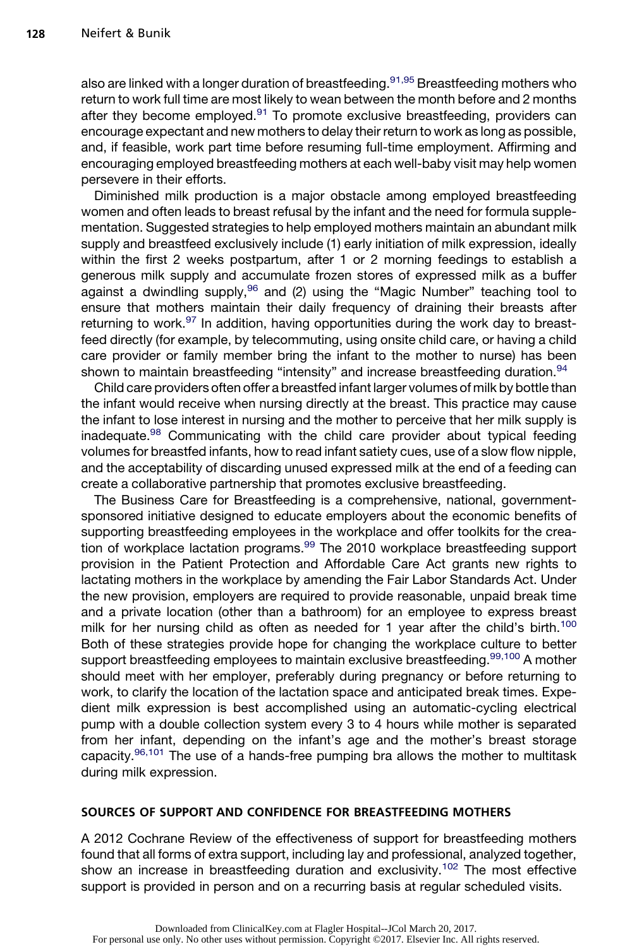also are linked with a longer duration of breastfeeding.<sup>[91,95](#page-28-0)</sup> Breastfeeding mothers who return to work full time are most likely to wean between the month before and 2 months after they become employed.<sup>[91](#page-28-0)</sup> To promote exclusive breastfeeding, providers can encourage expectant and new mothers to delay their return to work as long as possible, and, if feasible, work part time before resuming full-time employment. Affirming and encouraging employed breastfeeding mothers at each well-baby visit may help women persevere in their efforts.

Diminished milk production is a major obstacle among employed breastfeeding women and often leads to breast refusal by the infant and the need for formula supplementation. Suggested strategies to help employed mothers maintain an abundant milk supply and breastfeed exclusively include (1) early initiation of milk expression, ideally within the first 2 weeks postpartum, after 1 or 2 morning feedings to establish a generous milk supply and accumulate frozen stores of expressed milk as a buffer against a dwindling supply,  $96$  and (2) using the "Magic Number" teaching tool to ensure that mothers maintain their daily frequency of draining their breasts after returning to work.<sup>[97](#page-28-0)</sup> In addition, having opportunities during the work day to breastfeed directly (for example, by telecommuting, using onsite child care, or having a child care provider or family member bring the infant to the mother to nurse) has been shown to maintain breastfeeding "intensity" and increase breastfeeding duration.<sup>[94](#page-28-0)</sup>

Child care providers often offer a breastfed infant larger volumes of milk by bottle than the infant would receive when nursing directly at the breast. This practice may cause the infant to lose interest in nursing and the mother to perceive that her milk supply is inadequate.<sup>[98](#page-28-0)</sup> Communicating with the child care provider about typical feeding volumes for breastfed infants, how to read infant satiety cues, use of a slow flow nipple, and the acceptability of discarding unused expressed milk at the end of a feeding can create a collaborative partnership that promotes exclusive breastfeeding.

The Business Care for Breastfeeding is a comprehensive, national, governmentsponsored initiative designed to educate employers about the economic benefits of supporting breastfeeding employees in the workplace and offer toolkits for the crea-tion of workplace lactation programs.<sup>[99](#page-28-0)</sup> The 2010 workplace breastfeeding support provision in the Patient Protection and Affordable Care Act grants new rights to lactating mothers in the workplace by amending the Fair Labor Standards Act. Under the new provision, employers are required to provide reasonable, unpaid break time and a private location (other than a bathroom) for an employee to express breast milk for her nursing child as often as needed for 1 year after the child's birth.<sup>[100](#page-28-0)</sup> Both of these strategies provide hope for changing the workplace culture to better support breastfeeding employees to maintain exclusive breastfeeding.<sup>[99,100](#page-28-0)</sup> A mother should meet with her employer, preferably during pregnancy or before returning to work, to clarify the location of the lactation space and anticipated break times. Expedient milk expression is best accomplished using an automatic-cycling electrical pump with a double collection system every 3 to 4 hours while mother is separated from her infant, depending on the infant's age and the mother's breast storage capacity. $96,101$  The use of a hands-free pumping bra allows the mother to multitask during milk expression.

## SOURCES OF SUPPORT AND CONFIDENCE FOR BREASTFEEDING MOTHERS

A 2012 Cochrane Review of the effectiveness of support for breastfeeding mothers found that all forms of extra support, including lay and professional, analyzed together, show an increase in breastfeeding duration and exclusivity.<sup>[102](#page-28-0)</sup> The most effective support is provided in person and on a recurring basis at regular scheduled visits.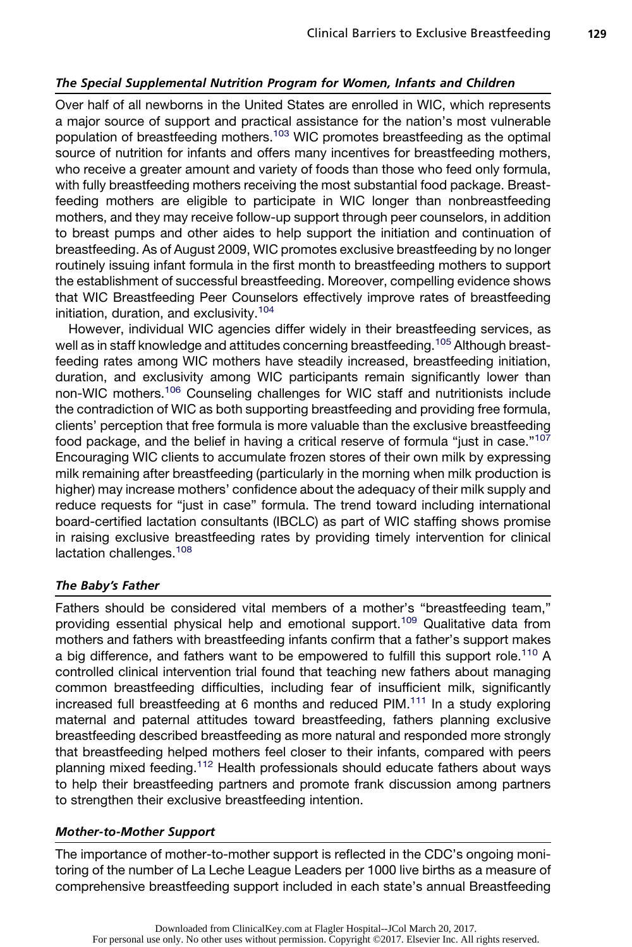## The Special Supplemental Nutrition Program for Women, Infants and Children

Over half of all newborns in the United States are enrolled in WIC, which represents a major source of support and practical assistance for the nation's most vulnerable population of breastfeeding mothers.<sup>[103](#page-28-0)</sup> WIC promotes breastfeeding as the optimal source of nutrition for infants and offers many incentives for breastfeeding mothers, who receive a greater amount and variety of foods than those who feed only formula, with fully breastfeeding mothers receiving the most substantial food package. Breastfeeding mothers are eligible to participate in WIC longer than nonbreastfeeding mothers, and they may receive follow-up support through peer counselors, in addition to breast pumps and other aides to help support the initiation and continuation of breastfeeding. As of August 2009, WIC promotes exclusive breastfeeding by no longer routinely issuing infant formula in the first month to breastfeeding mothers to support the establishment of successful breastfeeding. Moreover, compelling evidence shows that WIC Breastfeeding Peer Counselors effectively improve rates of breastfeeding initiation, duration, and exclusivity.<sup>[104](#page-28-0)</sup>

However, individual WIC agencies differ widely in their breastfeeding services, as well as in staff knowledge and attitudes concerning breastfeeding.<sup>[105](#page-28-0)</sup> Although breastfeeding rates among WIC mothers have steadily increased, breastfeeding initiation, duration, and exclusivity among WIC participants remain significantly lower than non-WIC mothers.<sup>[106](#page-29-0)</sup> Counseling challenges for WIC staff and nutritionists include the contradiction of WIC as both supporting breastfeeding and providing free formula, clients' perception that free formula is more valuable than the exclusive breastfeeding food package, and the belief in having a critical reserve of formula "just in case."[107](#page-29-0) Encouraging WIC clients to accumulate frozen stores of their own milk by expressing milk remaining after breastfeeding (particularly in the morning when milk production is higher) may increase mothers' confidence about the adequacy of their milk supply and reduce requests for "just in case" formula. The trend toward including international board-certified lactation consultants (IBCLC) as part of WIC staffing shows promise in raising exclusive breastfeeding rates by providing timely intervention for clinical lactation challenges.<sup>[108](#page-29-0)</sup>

## The Baby's Father

Fathers should be considered vital members of a mother's "breastfeeding team," providing essential physical help and emotional support.<sup>[109](#page-29-0)</sup> Qualitative data from mothers and fathers with breastfeeding infants confirm that a father's support makes a big difference, and fathers want to be empowered to fulfill this support role.<sup>[110](#page-29-0)</sup> A controlled clinical intervention trial found that teaching new fathers about managing common breastfeeding difficulties, including fear of insufficient milk, significantly increased full breastfeeding at 6 months and reduced PIM.<sup>[111](#page-29-0)</sup> In a study exploring maternal and paternal attitudes toward breastfeeding, fathers planning exclusive breastfeeding described breastfeeding as more natural and responded more strongly that breastfeeding helped mothers feel closer to their infants, compared with peers planning mixed feeding.<sup>[112](#page-29-0)</sup> Health professionals should educate fathers about ways to help their breastfeeding partners and promote frank discussion among partners to strengthen their exclusive breastfeeding intention.

## Mother-to-Mother Support

The importance of mother-to-mother support is reflected in the CDC's ongoing monitoring of the number of La Leche League Leaders per 1000 live births as a measure of comprehensive breastfeeding support included in each state's annual Breastfeeding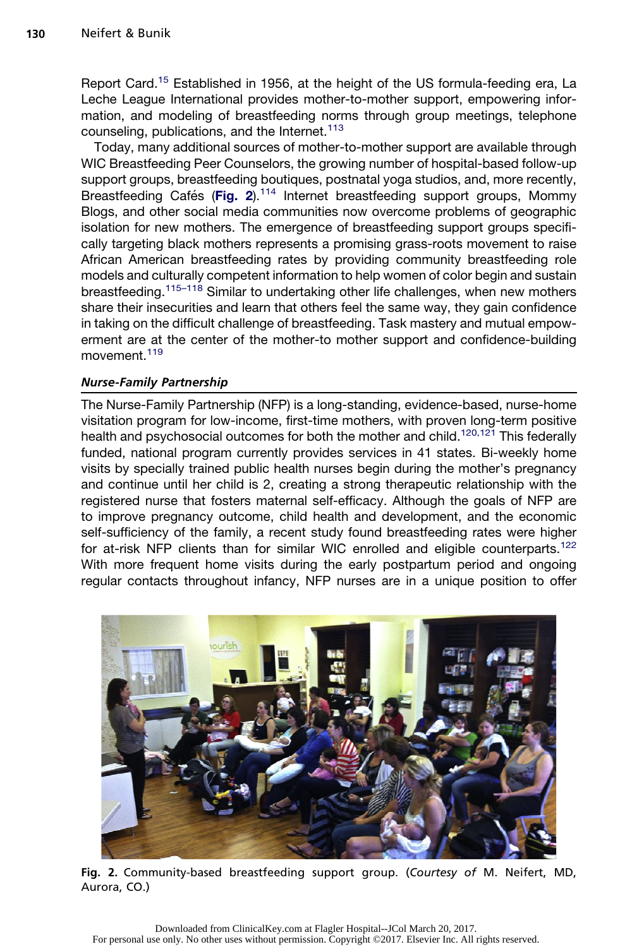Report Card.[15](#page-24-0) Established in 1956, at the height of the US formula-feeding era, La Leche League International provides mother-to-mother support, empowering information, and modeling of breastfeeding norms through group meetings, telephone counseling, publications, and the Internet.<sup>[113](#page-29-0)</sup>

Today, many additional sources of mother-to-mother support are available through WIC Breastfeeding Peer Counselors, the growing number of hospital-based follow-up support groups, breastfeeding boutiques, postnatal yoga studios, and, more recently, Breastfeeding Cafés (Fig. 2).<sup>[114](#page-29-0)</sup> Internet breastfeeding support groups, Mommy Blogs, and other social media communities now overcome problems of geographic isolation for new mothers. The emergence of breastfeeding support groups specifically targeting black mothers represents a promising grass-roots movement to raise African American breastfeeding rates by providing community breastfeeding role models and culturally competent information to help women of color begin and sustain breastfeeding.<sup>115-118</sup> Similar to undertaking other life challenges, when new mothers share their insecurities and learn that others feel the same way, they gain confidence in taking on the difficult challenge of breastfeeding. Task mastery and mutual empowerment are at the center of the mother-to mother support and confidence-building movement.<sup>[119](#page-29-0)</sup>

## Nurse-Family Partnership

The Nurse-Family Partnership (NFP) is a long-standing, evidence-based, nurse-home visitation program for low-income, first-time mothers, with proven long-term positive health and psychosocial outcomes for both the mother and child.<sup>[120,121](#page-29-0)</sup> This federally funded, national program currently provides services in 41 states. Bi-weekly home visits by specially trained public health nurses begin during the mother's pregnancy and continue until her child is 2, creating a strong therapeutic relationship with the registered nurse that fosters maternal self-efficacy. Although the goals of NFP are to improve pregnancy outcome, child health and development, and the economic self-sufficiency of the family, a recent study found breastfeeding rates were higher for at-risk NFP clients than for similar WIC enrolled and eligible counterparts.<sup>[122](#page-29-0)</sup> With more frequent home visits during the early postpartum period and ongoing regular contacts throughout infancy, NFP nurses are in a unique position to offer



Fig. 2. Community-based breastfeeding support group. (Courtesy of M. Neifert, MD, Aurora, CO.)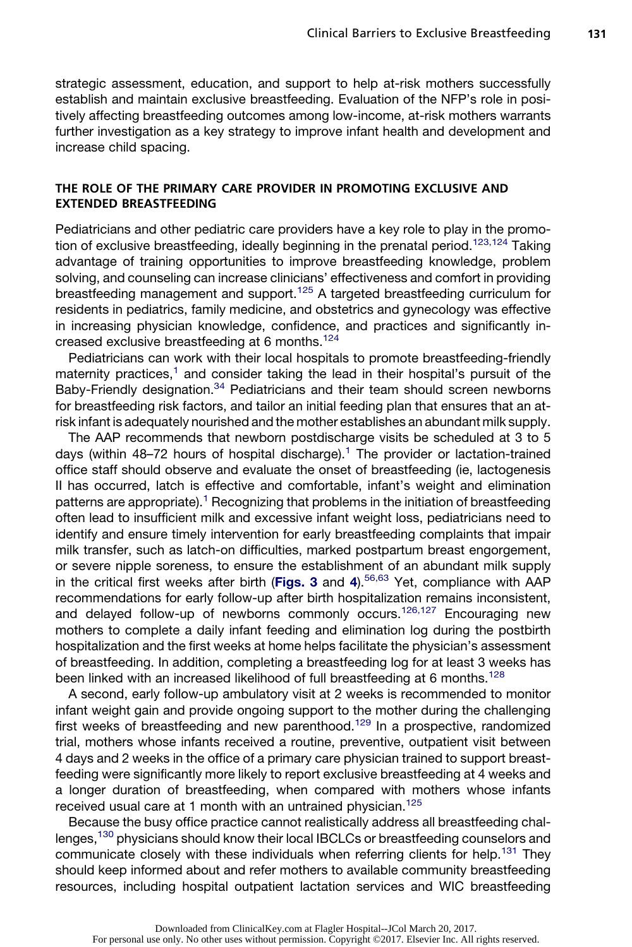strategic assessment, education, and support to help at-risk mothers successfully establish and maintain exclusive breastfeeding. Evaluation of the NFP's role in positively affecting breastfeeding outcomes among low-income, at-risk mothers warrants further investigation as a key strategy to improve infant health and development and increase child spacing.

#### THE ROLE OF THE PRIMARY CARE PROVIDER IN PROMOTING EXCLUSIVE AND EXTENDED BREASTFEEDING

Pediatricians and other pediatric care providers have a key role to play in the promo-tion of exclusive breastfeeding, ideally beginning in the prenatal period.<sup>[123,124](#page-29-0)</sup> Taking advantage of training opportunities to improve breastfeeding knowledge, problem solving, and counseling can increase clinicians' effectiveness and comfort in providing breastfeeding management and support.[125](#page-30-0) A targeted breastfeeding curriculum for residents in pediatrics, family medicine, and obstetrics and gynecology was effective in increasing physician knowledge, confidence, and practices and significantly increased exclusive breastfeeding at 6 months.[124](#page-29-0)

Pediatricians can work with their local hospitals to promote breastfeeding-friendly maternity practices, $<sup>1</sup>$  $<sup>1</sup>$  $<sup>1</sup>$  and consider taking the lead in their hospital's pursuit of the</sup> Baby-Friendly designation.<sup>[34](#page-25-0)</sup> Pediatricians and their team should screen newborns for breastfeeding risk factors, and tailor an initial feeding plan that ensures that an atrisk infant is adequately nourished and the mother establishes an abundant milk supply.

The AAP recommends that newborn postdischarge visits be scheduled at 3 to 5 days (within 48–72 hours of hospital discharge).<sup>[1](#page-23-0)</sup> The provider or lactation-trained office staff should observe and evaluate the onset of breastfeeding (ie, lactogenesis II has occurred, latch is effective and comfortable, infant's weight and elimination patterns are appropriate).[1](#page-23-0) Recognizing that problems in the initiation of breastfeeding often lead to insufficient milk and excessive infant weight loss, pediatricians need to identify and ensure timely intervention for early breastfeeding complaints that impair milk transfer, such as latch-on difficulties, marked postpartum breast engorgement, or severe nipple soreness, to ensure the establishment of an abundant milk supply in the critical first weeks after birth ([Figs. 3](#page-17-0) and [4](#page-17-0)).<sup>[56,63](#page-26-0)</sup> Yet, compliance with AAP recommendations for early follow-up after birth hospitalization remains inconsistent, and delayed follow-up of newborns commonly occurs.<sup>[126,127](#page-30-0)</sup> Encouraging new mothers to complete a daily infant feeding and elimination log during the postbirth hospitalization and the first weeks at home helps facilitate the physician's assessment of breastfeeding. In addition, completing a breastfeeding log for at least 3 weeks has been linked with an increased likelihood of full breastfeeding at 6 months.<sup>[128](#page-30-0)</sup>

A second, early follow-up ambulatory visit at 2 weeks is recommended to monitor infant weight gain and provide ongoing support to the mother during the challenging first weeks of breastfeeding and new parenthood.<sup>[129](#page-30-0)</sup> In a prospective, randomized trial, mothers whose infants received a routine, preventive, outpatient visit between 4 days and 2 weeks in the office of a primary care physician trained to support breastfeeding were significantly more likely to report exclusive breastfeeding at 4 weeks and a longer duration of breastfeeding, when compared with mothers whose infants received usual care at 1 month with an untrained physician.<sup>[125](#page-30-0)</sup>

Because the busy office practice cannot realistically address all breastfeeding chal-lenges,<sup>[130](#page-30-0)</sup> physicians should know their local IBCLCs or breastfeeding counselors and communicate closely with these individuals when referring clients for help.<sup>[131](#page-30-0)</sup> They should keep informed about and refer mothers to available community breastfeeding resources, including hospital outpatient lactation services and WIC breastfeeding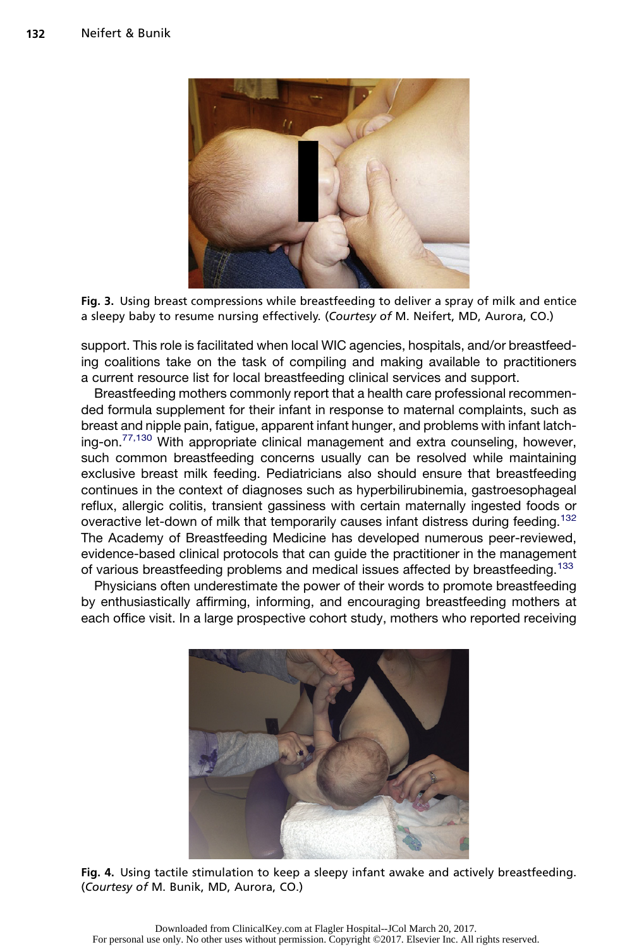<span id="page-17-0"></span>

Fig. 3. Using breast compressions while breastfeeding to deliver a spray of milk and entice a sleepy baby to resume nursing effectively. (Courtesy of M. Neifert, MD, Aurora, CO.)

support. This role is facilitated when local WIC agencies, hospitals, and/or breastfeeding coalitions take on the task of compiling and making available to practitioners a current resource list for local breastfeeding clinical services and support.

Breastfeeding mothers commonly report that a health care professional recommended formula supplement for their infant in response to maternal complaints, such as breast and nipple pain, fatigue, apparent infant hunger, and problems with infant latch-ing-on.<sup>[77,130](#page-27-0)</sup> With appropriate clinical management and extra counseling, however, such common breastfeeding concerns usually can be resolved while maintaining exclusive breast milk feeding. Pediatricians also should ensure that breastfeeding continues in the context of diagnoses such as hyperbilirubinemia, gastroesophageal reflux, allergic colitis, transient gassiness with certain maternally ingested foods or overactive let-down of milk that temporarily causes infant distress during feeding.<sup>[132](#page-30-0)</sup> The Academy of Breastfeeding Medicine has developed numerous peer-reviewed, evidence-based clinical protocols that can guide the practitioner in the management of various breastfeeding problems and medical issues affected by breastfeeding.<sup>[133](#page-30-0)</sup>

Physicians often underestimate the power of their words to promote breastfeeding by enthusiastically affirming, informing, and encouraging breastfeeding mothers at each office visit. In a large prospective cohort study, mothers who reported receiving



Fig. 4. Using tactile stimulation to keep a sleepy infant awake and actively breastfeeding. (Courtesy of M. Bunik, MD, Aurora, CO.)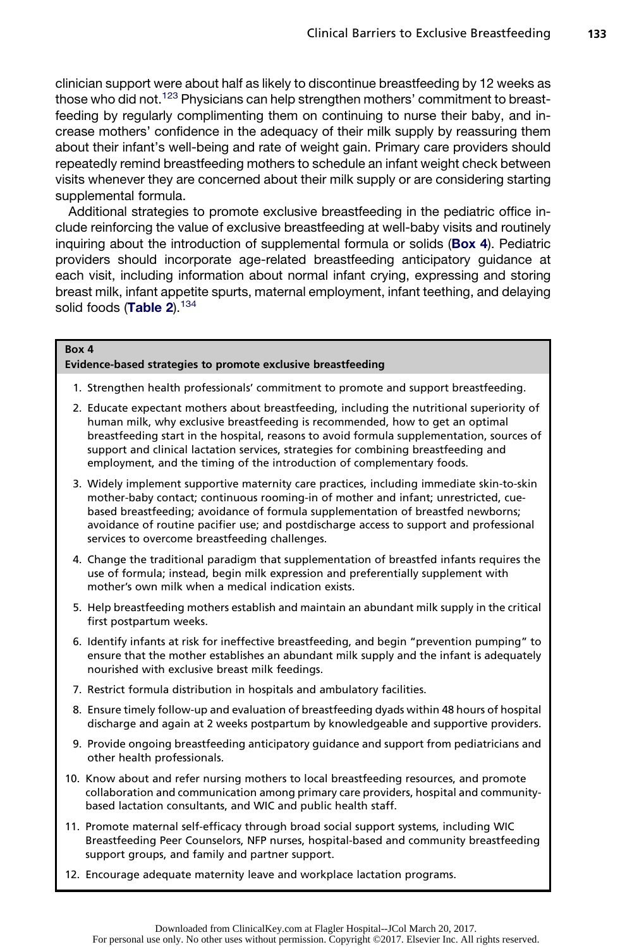clinician support were about half as likely to discontinue breastfeeding by 12 weeks as those who did not.<sup>[123](#page-29-0)</sup> Physicians can help strengthen mothers' commitment to breastfeeding by regularly complimenting them on continuing to nurse their baby, and increase mothers' confidence in the adequacy of their milk supply by reassuring them about their infant's well-being and rate of weight gain. Primary care providers should repeatedly remind breastfeeding mothers to schedule an infant weight check between visits whenever they are concerned about their milk supply or are considering starting supplemental formula.

Additional strategies to promote exclusive breastfeeding in the pediatric office include reinforcing the value of exclusive breastfeeding at well-baby visits and routinely inquiring about the introduction of supplemental formula or solids (Box 4). Pediatric providers should incorporate age-related breastfeeding anticipatory guidance at each visit, including information about normal infant crying, expressing and storing breast milk, infant appetite spurts, maternal employment, infant teething, and delaying solid foods (Table  $2$ ).  $134$ 

#### Box 4

Evidence-based strategies to promote exclusive breastfeeding

- 1. Strengthen health professionals' commitment to promote and support breastfeeding.
- 2. Educate expectant mothers about breastfeeding, including the nutritional superiority of human milk, why exclusive breastfeeding is recommended, how to get an optimal breastfeeding start in the hospital, reasons to avoid formula supplementation, sources of support and clinical lactation services, strategies for combining breastfeeding and employment, and the timing of the introduction of complementary foods.
- 3. Widely implement supportive maternity care practices, including immediate skin-to-skin mother-baby contact; continuous rooming-in of mother and infant; unrestricted, cuebased breastfeeding; avoidance of formula supplementation of breastfed newborns; avoidance of routine pacifier use; and postdischarge access to support and professional services to overcome breastfeeding challenges.
- 4. Change the traditional paradigm that supplementation of breastfed infants requires the use of formula; instead, begin milk expression and preferentially supplement with mother's own milk when a medical indication exists.
- 5. Help breastfeeding mothers establish and maintain an abundant milk supply in the critical first postpartum weeks.
- 6. Identify infants at risk for ineffective breastfeeding, and begin "prevention pumping" to ensure that the mother establishes an abundant milk supply and the infant is adequately nourished with exclusive breast milk feedings.
- 7. Restrict formula distribution in hospitals and ambulatory facilities.
- 8. Ensure timely follow-up and evaluation of breastfeeding dyads within 48 hours of hospital discharge and again at 2 weeks postpartum by knowledgeable and supportive providers.
- 9. Provide ongoing breastfeeding anticipatory guidance and support from pediatricians and other health professionals.
- 10. Know about and refer nursing mothers to local breastfeeding resources, and promote collaboration and communication among primary care providers, hospital and communitybased lactation consultants, and WIC and public health staff.
- 11. Promote maternal self-efficacy through broad social support systems, including WIC Breastfeeding Peer Counselors, NFP nurses, hospital-based and community breastfeeding support groups, and family and partner support.
- 12. Encourage adequate maternity leave and workplace lactation programs.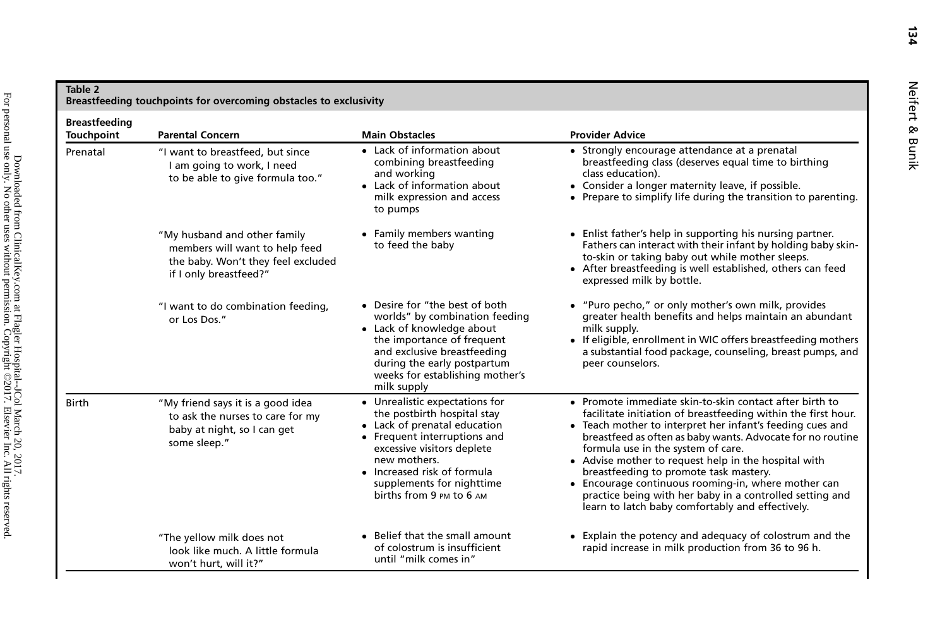<span id="page-19-0"></span>

| <b>Breastfeeding</b><br><b>Touchpoint</b> | <b>Parental Concern</b>                                                                                                        | <b>Main Obstacles</b>                                                                                                                                                                                                                                               | <b>Provider Advice</b>                                                                                                                                                                                                                                                                                                                                                                                                                                                                                                                                             |
|-------------------------------------------|--------------------------------------------------------------------------------------------------------------------------------|---------------------------------------------------------------------------------------------------------------------------------------------------------------------------------------------------------------------------------------------------------------------|--------------------------------------------------------------------------------------------------------------------------------------------------------------------------------------------------------------------------------------------------------------------------------------------------------------------------------------------------------------------------------------------------------------------------------------------------------------------------------------------------------------------------------------------------------------------|
| Prenatal                                  | "I want to breastfeed, but since<br>I am going to work, I need<br>to be able to give formula too."                             | • Lack of information about<br>combining breastfeeding<br>and working<br>• Lack of information about<br>milk expression and access<br>to pumps                                                                                                                      | • Strongly encourage attendance at a prenatal<br>breastfeeding class (deserves equal time to birthing<br>class education).<br>• Consider a longer maternity leave, if possible.<br>• Prepare to simplify life during the transition to parenting.                                                                                                                                                                                                                                                                                                                  |
|                                           | "My husband and other family<br>members will want to help feed<br>the baby. Won't they feel excluded<br>if I only breastfeed?" | • Family members wanting<br>to feed the baby                                                                                                                                                                                                                        | • Enlist father's help in supporting his nursing partner.<br>Fathers can interact with their infant by holding baby skin-<br>to-skin or taking baby out while mother sleeps.<br>• After breastfeeding is well established, others can feed<br>expressed milk by bottle.                                                                                                                                                                                                                                                                                            |
|                                           | "I want to do combination feeding,<br>or Los Dos."                                                                             | • Desire for "the best of both<br>worlds" by combination feeding<br>• Lack of knowledge about<br>the importance of frequent<br>and exclusive breastfeeding<br>during the early postpartum<br>weeks for establishing mother's<br>milk supply                         | • "Puro pecho," or only mother's own milk, provides<br>greater health benefits and helps maintain an abundant<br>milk supply.<br>• If eligible, enrollment in WIC offers breastfeeding mothers<br>a substantial food package, counseling, breast pumps, and<br>peer counselors.                                                                                                                                                                                                                                                                                    |
| Birth                                     | "My friend says it is a good idea<br>to ask the nurses to care for my<br>baby at night, so I can get<br>some sleep."           | • Unrealistic expectations for<br>the postbirth hospital stay<br>• Lack of prenatal education<br>• Frequent interruptions and<br>excessive visitors deplete<br>new mothers.<br>• Increased risk of formula<br>supplements for nighttime<br>births from 9 PM to 6 AM | • Promote immediate skin-to-skin contact after birth to<br>facilitate initiation of breastfeeding within the first hour.<br>• Teach mother to interpret her infant's feeding cues and<br>breastfeed as often as baby wants. Advocate for no routine<br>formula use in the system of care.<br>• Advise mother to request help in the hospital with<br>breastfeeding to promote task mastery.<br>• Encourage continuous rooming-in, where mother can<br>practice being with her baby in a controlled setting and<br>learn to latch baby comfortably and effectively. |
|                                           | "The yellow milk does not<br>look like much. A little formula<br>won't hurt, will it?"                                         | • Belief that the small amount<br>of colostrum is insufficient<br>until "milk comes in"                                                                                                                                                                             | • Explain the potency and adequacy of colostrum and the<br>rapid increase in milk production from 36 to 96 h.                                                                                                                                                                                                                                                                                                                                                                                                                                                      |

Neifert & Bunik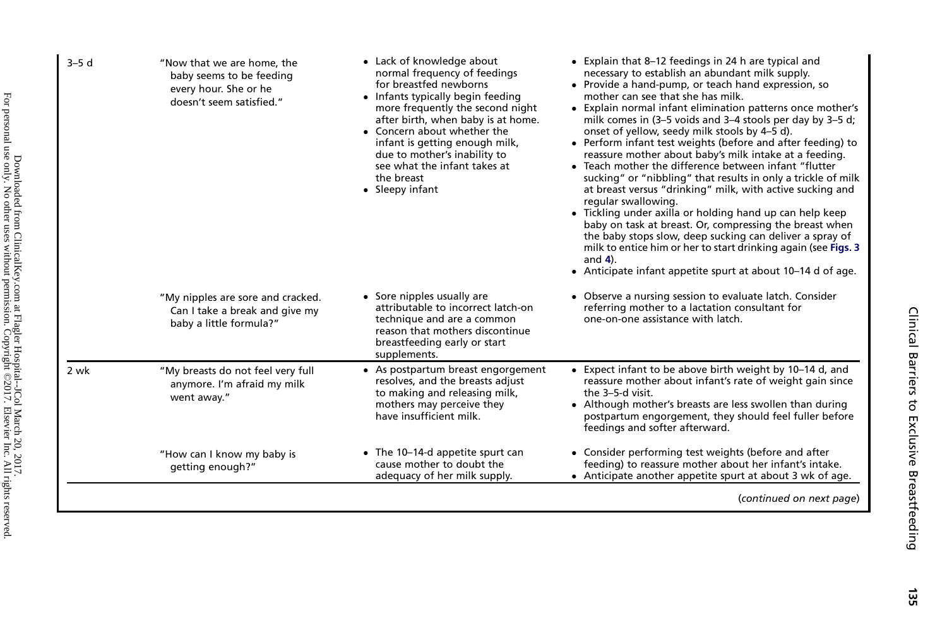| $3-5d$ | "Now that we are home, the<br>baby seems to be feeding<br>every hour. She or he<br>doesn't seem satisfied." | • Lack of knowledge about<br>normal frequency of feedings<br>for breastfed newborns<br>• Infants typically begin feeding<br>more frequently the second night<br>after birth, when baby is at home.<br>• Concern about whether the<br>infant is getting enough milk,<br>due to mother's inability to<br>see what the infant takes at<br>the breast<br>• Sleepy infant | • Explain that 8-12 feedings in 24 h are typical and<br>necessary to establish an abundant milk supply.<br>• Provide a hand-pump, or teach hand expression, so<br>mother can see that she has milk.<br>• Explain normal infant elimination patterns once mother's<br>milk comes in (3-5 voids and 3-4 stools per day by 3-5 d;<br>onset of yellow, seedy milk stools by 4-5 d).<br>• Perform infant test weights (before and after feeding) to<br>reassure mother about baby's milk intake at a feeding.<br>• Teach mother the difference between infant "flutter<br>sucking" or "nibbling" that results in only a trickle of milk<br>at breast versus "drinking" milk, with active sucking and<br>regular swallowing.<br>• Tickling under axilla or holding hand up can help keep<br>baby on task at breast. Or, compressing the breast when<br>the baby stops slow, deep sucking can deliver a spray of<br>milk to entice him or her to start drinking again (see Figs. 3<br>and $4$ ).<br>• Anticipate infant appetite spurt at about 10–14 d of age. |
|--------|-------------------------------------------------------------------------------------------------------------|----------------------------------------------------------------------------------------------------------------------------------------------------------------------------------------------------------------------------------------------------------------------------------------------------------------------------------------------------------------------|----------------------------------------------------------------------------------------------------------------------------------------------------------------------------------------------------------------------------------------------------------------------------------------------------------------------------------------------------------------------------------------------------------------------------------------------------------------------------------------------------------------------------------------------------------------------------------------------------------------------------------------------------------------------------------------------------------------------------------------------------------------------------------------------------------------------------------------------------------------------------------------------------------------------------------------------------------------------------------------------------------------------------------------------------------|
|        | "My nipples are sore and cracked.<br>Can I take a break and give my<br>baby a little formula?"              | • Sore nipples usually are<br>attributable to incorrect latch-on<br>technique and are a common<br>reason that mothers discontinue<br>breastfeeding early or start<br>supplements.                                                                                                                                                                                    | • Observe a nursing session to evaluate latch. Consider<br>referring mother to a lactation consultant for<br>one-on-one assistance with latch.                                                                                                                                                                                                                                                                                                                                                                                                                                                                                                                                                                                                                                                                                                                                                                                                                                                                                                           |
| 2 wk   | "My breasts do not feel very full<br>anymore. I'm afraid my milk<br>went away."                             | • As postpartum breast engorgement<br>resolves, and the breasts adjust<br>to making and releasing milk,<br>mothers may perceive they<br>have insufficient milk.                                                                                                                                                                                                      | • Expect infant to be above birth weight by 10–14 d, and<br>reassure mother about infant's rate of weight gain since<br>the 3-5-d visit.<br>• Although mother's breasts are less swollen than during<br>postpartum engorgement, they should feel fuller before<br>feedings and softer afterward.                                                                                                                                                                                                                                                                                                                                                                                                                                                                                                                                                                                                                                                                                                                                                         |
|        | "How can I know my baby is<br>getting enough?"                                                              | • The 10-14-d appetite spurt can<br>cause mother to doubt the<br>adequacy of her milk supply.                                                                                                                                                                                                                                                                        | • Consider performing test weights (before and after<br>feeding) to reassure mother about her infant's intake.<br>• Anticipate another appetite spurt at about 3 wk of age.                                                                                                                                                                                                                                                                                                                                                                                                                                                                                                                                                                                                                                                                                                                                                                                                                                                                              |

(continued on next page)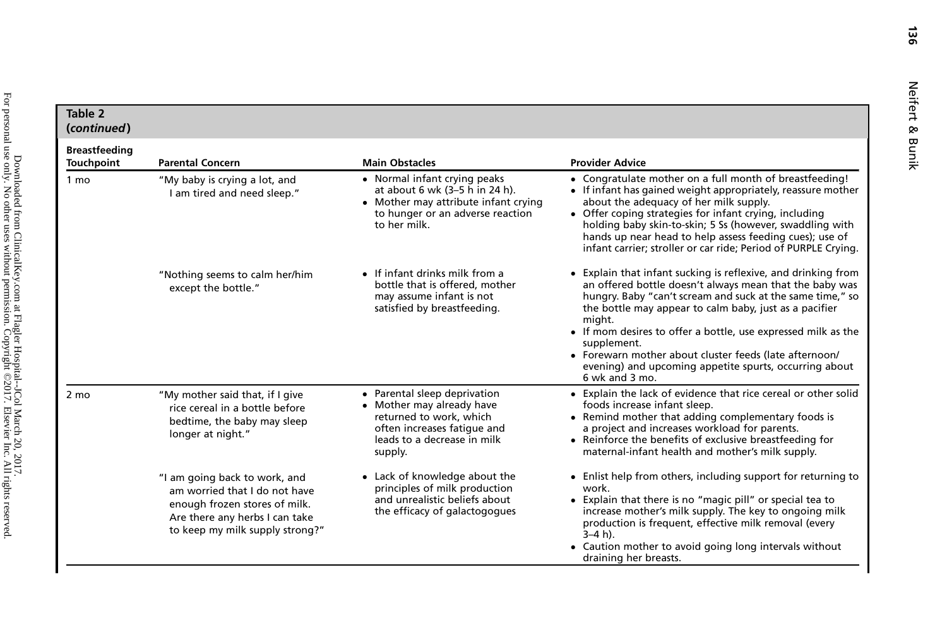| Table 2<br>(continued)                    |                                                                                                                                                                      |                                                                                                                                                               |                                                                                                                                                                                                                                                                                                                                                                                                                                                                                 |
|-------------------------------------------|----------------------------------------------------------------------------------------------------------------------------------------------------------------------|---------------------------------------------------------------------------------------------------------------------------------------------------------------|---------------------------------------------------------------------------------------------------------------------------------------------------------------------------------------------------------------------------------------------------------------------------------------------------------------------------------------------------------------------------------------------------------------------------------------------------------------------------------|
| <b>Breastfeeding</b><br><b>Touchpoint</b> | <b>Parental Concern</b>                                                                                                                                              | <b>Main Obstacles</b>                                                                                                                                         | <b>Provider Advice</b>                                                                                                                                                                                                                                                                                                                                                                                                                                                          |
| 1 mo                                      | "My baby is crying a lot, and<br>I am tired and need sleep."                                                                                                         | • Normal infant crying peaks<br>at about 6 wk (3-5 h in 24 h).<br>• Mother may attribute infant crying<br>to hunger or an adverse reaction<br>to her milk.    | • Congratulate mother on a full month of breastfeeding!<br>• If infant has gained weight appropriately, reassure mother<br>about the adequacy of her milk supply.<br>• Offer coping strategies for infant crying, including<br>holding baby skin-to-skin; 5 Ss (however, swaddling with<br>hands up near head to help assess feeding cues); use of<br>infant carrier; stroller or car ride; Period of PURPLE Crying.                                                            |
|                                           | "Nothing seems to calm her/him<br>except the bottle."                                                                                                                | • If infant drinks milk from a<br>bottle that is offered, mother<br>may assume infant is not<br>satisfied by breastfeeding.                                   | • Explain that infant sucking is reflexive, and drinking from<br>an offered bottle doesn't always mean that the baby was<br>hungry. Baby "can't scream and suck at the same time," so<br>the bottle may appear to calm baby, just as a pacifier<br>might.<br>• If mom desires to offer a bottle, use expressed milk as the<br>supplement.<br>• Forewarn mother about cluster feeds (late afternoon/<br>evening) and upcoming appetite spurts, occurring about<br>6 wk and 3 mo. |
| 2 mo                                      | "My mother said that, if I give<br>rice cereal in a bottle before<br>bedtime, the baby may sleep<br>longer at night."                                                | • Parental sleep deprivation<br>• Mother may already have<br>returned to work, which<br>often increases fatique and<br>leads to a decrease in milk<br>supply. | • Explain the lack of evidence that rice cereal or other solid<br>foods increase infant sleep.<br>• Remind mother that adding complementary foods is<br>a project and increases workload for parents.<br>• Reinforce the benefits of exclusive breastfeeding for<br>maternal-infant health and mother's milk supply.                                                                                                                                                            |
|                                           | "I am going back to work, and<br>am worried that I do not have<br>enough frozen stores of milk.<br>Are there any herbs I can take<br>to keep my milk supply strong?" | • Lack of knowledge about the<br>principles of milk production<br>and unrealistic beliefs about<br>the efficacy of galactogogues                              | • Enlist help from others, including support for returning to<br>work.<br>• Explain that there is no "magic pill" or special tea to<br>increase mother's milk supply. The key to ongoing milk<br>production is frequent, effective milk removal (every<br>$3-4 h$ ).<br>• Caution mother to avoid going long intervals without<br>draining her breasts.                                                                                                                         |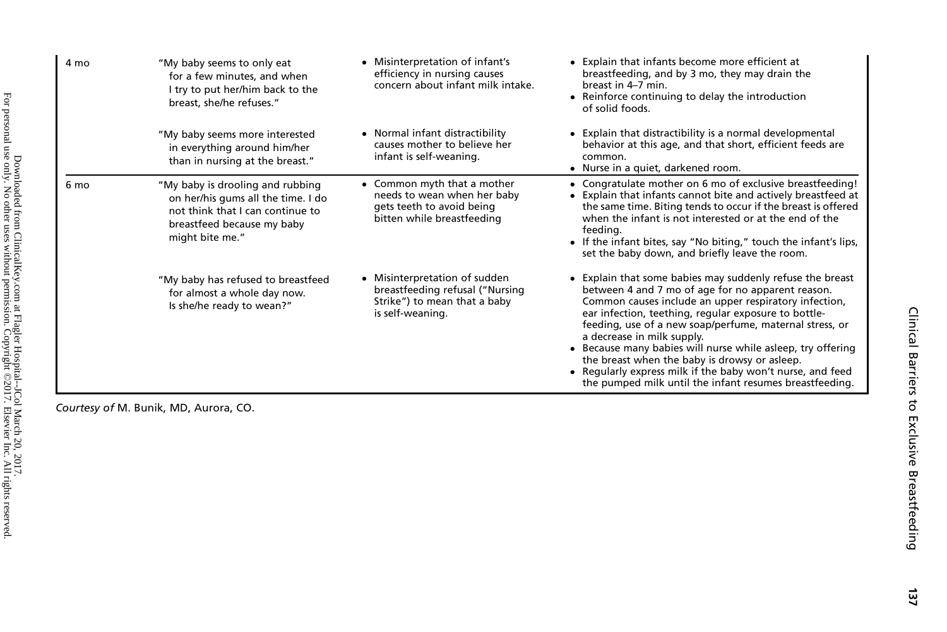| 4 mo            | "My baby seems to only eat<br>for a few minutes, and when<br>I try to put her/him back to the<br>breast, she/he refuses."                                   | • Misinterpretation of infant's<br>efficiency in nursing causes<br>concern about infant milk intake.                  | • Explain that infants become more efficient at<br>breastfeeding, and by 3 mo, they may drain the<br>breast in 4-7 min.<br>• Reinforce continuing to delay the introduction<br>of solid foods.                                                                                                                                                                                                                                                                                                                                                                    |
|-----------------|-------------------------------------------------------------------------------------------------------------------------------------------------------------|-----------------------------------------------------------------------------------------------------------------------|-------------------------------------------------------------------------------------------------------------------------------------------------------------------------------------------------------------------------------------------------------------------------------------------------------------------------------------------------------------------------------------------------------------------------------------------------------------------------------------------------------------------------------------------------------------------|
|                 | "My baby seems more interested<br>in everything around him/her<br>than in nursing at the breast."                                                           | • Normal infant distractibility<br>causes mother to believe her<br>infant is self-weaning.                            | • Explain that distractibility is a normal developmental<br>behavior at this age, and that short, efficient feeds are<br>common.<br>• Nurse in a quiet, darkened room.                                                                                                                                                                                                                                                                                                                                                                                            |
| 6 <sub>mo</sub> | "My baby is drooling and rubbing<br>on her/his gums all the time. I do<br>not think that I can continue to<br>breastfeed because my baby<br>might bite me." | • Common myth that a mother<br>needs to wean when her baby<br>gets teeth to avoid being<br>bitten while breastfeeding | • Congratulate mother on 6 mo of exclusive breastfeeding!<br>• Explain that infants cannot bite and actively breastfeed at<br>the same time. Biting tends to occur if the breast is offered<br>when the infant is not interested or at the end of the<br>feeding.<br>• If the infant bites, say "No biting," touch the infant's lips,<br>set the baby down, and briefly leave the room.                                                                                                                                                                           |
|                 | "My baby has refused to breastfeed<br>for almost a whole day now.<br>Is she/he ready to wean?"                                                              | • Misinterpretation of sudden<br>breastfeeding refusal ("Nursing<br>Strike") to mean that a baby<br>is self-weaning.  | • Explain that some babies may suddenly refuse the breast<br>between 4 and 7 mo of age for no apparent reason.<br>Common causes include an upper respiratory infection,<br>ear infection, teething, regular exposure to bottle-<br>feeding, use of a new soap/perfume, maternal stress, or<br>a decrease in milk supply.<br>• Because many babies will nurse while asleep, try offering<br>the breast when the baby is drowsy or asleep.<br>• Regularly express milk if the baby won't nurse, and feed<br>the pumped milk until the infant resumes breastfeeding. |

Courtesy of M. Bunik, MD, Aurora, CO.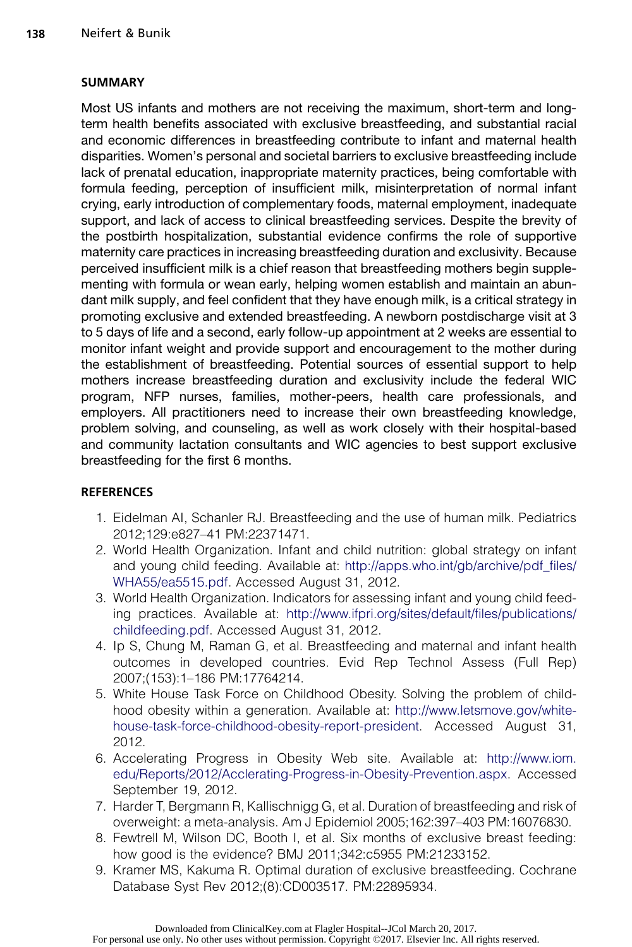## <span id="page-23-0"></span>SUMMARY

Most US infants and mothers are not receiving the maximum, short-term and longterm health benefits associated with exclusive breastfeeding, and substantial racial and economic differences in breastfeeding contribute to infant and maternal health disparities. Women's personal and societal barriers to exclusive breastfeeding include lack of prenatal education, inappropriate maternity practices, being comfortable with formula feeding, perception of insufficient milk, misinterpretation of normal infant crying, early introduction of complementary foods, maternal employment, inadequate support, and lack of access to clinical breastfeeding services. Despite the brevity of the postbirth hospitalization, substantial evidence confirms the role of supportive maternity care practices in increasing breastfeeding duration and exclusivity. Because perceived insufficient milk is a chief reason that breastfeeding mothers begin supplementing with formula or wean early, helping women establish and maintain an abundant milk supply, and feel confident that they have enough milk, is a critical strategy in promoting exclusive and extended breastfeeding. A newborn postdischarge visit at 3 to 5 days of life and a second, early follow-up appointment at 2 weeks are essential to monitor infant weight and provide support and encouragement to the mother during the establishment of breastfeeding. Potential sources of essential support to help mothers increase breastfeeding duration and exclusivity include the federal WIC program, NFP nurses, families, mother-peers, health care professionals, and employers. All practitioners need to increase their own breastfeeding knowledge, problem solving, and counseling, as well as work closely with their hospital-based and community lactation consultants and WIC agencies to best support exclusive breastfeeding for the first 6 months.

## **REFERENCES**

- 1. Eidelman AI, Schanler RJ. Breastfeeding and the use of human milk. Pediatrics 2012;129:e827–41 PM:22371471.
- 2. World Health Organization. Infant and child nutrition: global strategy on infant and young child feeding. Available at: [http://apps.who.int/gb/archive/pdf\\_files/](http://apps.who.int/gb/archive/pdf_files/WHA55/ea5515.pdf) [WHA55/ea5515.pdf.](http://apps.who.int/gb/archive/pdf_files/WHA55/ea5515.pdf) Accessed August 31, 2012.
- 3. World Health Organization. Indicators for assessing infant and young child feeding practices. Available at: [http://www.ifpri.org/sites/default/files/publications/](http://www.ifpri.org/sites/default/files/publications/childfeeding.pdf) [childfeeding.pdf](http://www.ifpri.org/sites/default/files/publications/childfeeding.pdf). Accessed August 31, 2012.
- 4. Ip S, Chung M, Raman G, et al. Breastfeeding and maternal and infant health outcomes in developed countries. Evid Rep Technol Assess (Full Rep) 2007;(153):1–186 PM:17764214.
- 5. White House Task Force on Childhood Obesity. Solving the problem of childhood obesity within a generation. Available at: [http://www.letsmove.gov/white](http://www.letsmove.gov/white-house-task-force-childhood-obesity-report-president)[house-task-force-childhood-obesity-report-president](http://www.letsmove.gov/white-house-task-force-childhood-obesity-report-president). Accessed August 31, 2012.
- 6. Accelerating Progress in Obesity Web site. Available at: [http://www.iom.](http://www.iom.edu/Reports/2012/Acclerating-Progress-in-Obesity-Prevention.aspx) [edu/Reports/2012/Acclerating-Progress-in-Obesity-Prevention.aspx.](http://www.iom.edu/Reports/2012/Acclerating-Progress-in-Obesity-Prevention.aspx) Accessed September 19, 2012.
- 7. Harder T, Bergmann R, Kallischnigg G, et al. Duration of breastfeeding and risk of overweight: a meta-analysis. Am J Epidemiol 2005;162:397–403 PM:16076830.
- 8. Fewtrell M, Wilson DC, Booth I, et al. Six months of exclusive breast feeding: how good is the evidence? BMJ 2011;342:c5955 PM:21233152.
- 9. Kramer MS, Kakuma R. Optimal duration of exclusive breastfeeding. Cochrane Database Syst Rev 2012;(8):CD003517. PM:22895934.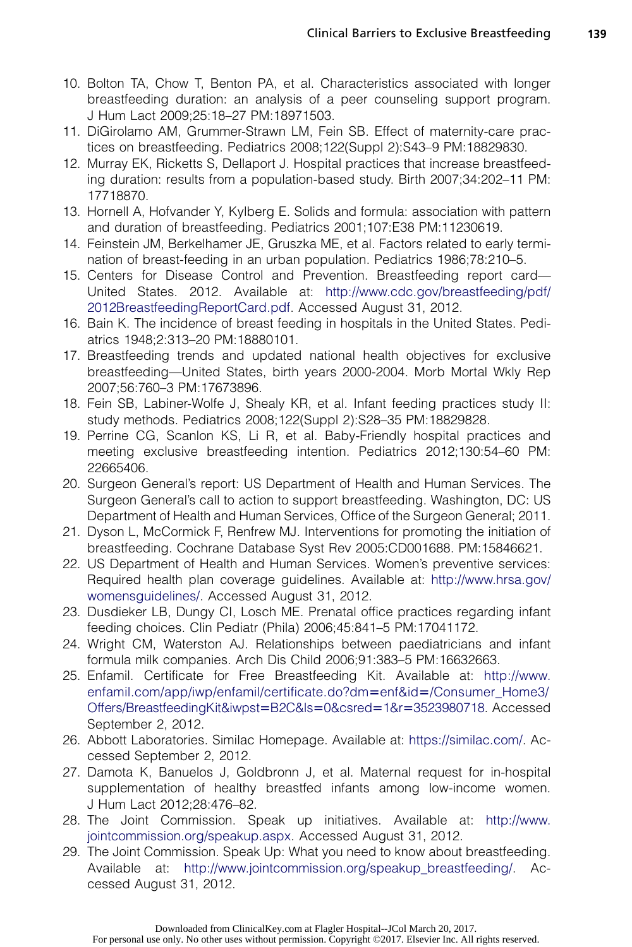- <span id="page-24-0"></span>10. Bolton TA, Chow T, Benton PA, et al. Characteristics associated with longer breastfeeding duration: an analysis of a peer counseling support program. J Hum Lact 2009;25:18–27 PM:18971503.
- 11. DiGirolamo AM, Grummer-Strawn LM, Fein SB. Effect of maternity-care practices on breastfeeding. Pediatrics 2008;122(Suppl 2):S43–9 PM:18829830.
- 12. Murray EK, Ricketts S, Dellaport J. Hospital practices that increase breastfeeding duration: results from a population-based study. Birth 2007;34:202–11 PM: 17718870.
- 13. Hornell A, Hofvander Y, Kylberg E. Solids and formula: association with pattern and duration of breastfeeding. Pediatrics 2001;107:E38 PM:11230619.
- 14. Feinstein JM, Berkelhamer JE, Gruszka ME, et al. Factors related to early termination of breast-feeding in an urban population. Pediatrics 1986;78:210–5.
- 15. Centers for Disease Control and Prevention. Breastfeeding report card— United States. 2012. Available at: [http://www.cdc.gov/breastfeeding/pdf/](http://www.cdc.gov/breastfeeding/pdf/2012BreastfeedingReportCard.pdf) [2012BreastfeedingReportCard.pdf](http://www.cdc.gov/breastfeeding/pdf/2012BreastfeedingReportCard.pdf). Accessed August 31, 2012.
- 16. Bain K. The incidence of breast feeding in hospitals in the United States. Pediatrics 1948;2:313–20 PM:18880101.
- 17. Breastfeeding trends and updated national health objectives for exclusive breastfeeding—United States, birth years 2000-2004. Morb Mortal Wkly Rep 2007;56:760–3 PM:17673896.
- 18. Fein SB, Labiner-Wolfe J, Shealy KR, et al. Infant feeding practices study II: study methods. Pediatrics 2008;122(Suppl 2):S28–35 PM:18829828.
- 19. Perrine CG, Scanlon KS, Li R, et al. Baby-Friendly hospital practices and meeting exclusive breastfeeding intention. Pediatrics 2012;130:54–60 PM: 22665406.
- 20. Surgeon General's report: US Department of Health and Human Services. The Surgeon General's call to action to support breastfeeding. Washington, DC: US Department of Health and Human Services, Office of the Surgeon General; 2011.
- 21. Dyson L, McCormick F, Renfrew MJ. Interventions for promoting the initiation of breastfeeding. Cochrane Database Syst Rev 2005:CD001688. PM:15846621.
- 22. US Department of Health and Human Services. Women's preventive services: Required health plan coverage guidelines. Available at: [http://www.hrsa.gov/](http://www.hrsa.gov/womensguidelines/) [womensguidelines/.](http://www.hrsa.gov/womensguidelines/) Accessed August 31, 2012.
- 23. Dusdieker LB, Dungy CI, Losch ME. Prenatal office practices regarding infant feeding choices. Clin Pediatr (Phila) 2006;45:841–5 PM:17041172.
- 24. Wright CM, Waterston AJ. Relationships between paediatricians and infant formula milk companies. Arch Dis Child 2006;91:383–5 PM:16632663.
- 25. Enfamil. Certificate for Free Breastfeeding Kit. Available at: [http://www.](http://www.enfamil.com/app/iwp/enfamil/certificate.do%3Fdm=enf%26id=/Consumer_Home3/Offers/BreastfeedingKit%26iwpst=B2C%26ls=0%26csred=1%26r=3523980718) [enfamil.com/app/iwp/enfamil/certificate.do?dm](http://www.enfamil.com/app/iwp/enfamil/certificate.do%3Fdm=enf%26id=/Consumer_Home3/Offers/BreastfeedingKit%26iwpst=B2C%26ls=0%26csred=1%26r=3523980718)=enf&id=/Consumer\_Home3/ [Offers/BreastfeedingKit&iwpst](http://www.enfamil.com/app/iwp/enfamil/certificate.do%3Fdm=enf%26id=/Consumer_Home3/Offers/BreastfeedingKit%26iwpst=B2C%26ls=0%26csred=1%26r=3523980718)=B2C&ls=0&csred=1&r=3523980718. Accessed September 2, 2012.
- 26. Abbott Laboratories. Similac Homepage. Available at: <https://similac.com/>. Accessed September 2, 2012.
- 27. Damota K, Banuelos J, Goldbronn J, et al. Maternal request for in-hospital supplementation of healthy breastfed infants among low-income women. J Hum Lact 2012;28:476–82.
- 28. The Joint Commission. Speak up initiatives. Available at: [http://www.](http://www.jointcommission.org/speakup.aspx) [jointcommission.org/speakup.aspx.](http://www.jointcommission.org/speakup.aspx) Accessed August 31, 2012.
- 29. The Joint Commission. Speak Up: What you need to know about breastfeeding. Available at: [http://www.jointcommission.org/speakup\\_breastfeeding/](http://www.jointcommission.org/speakup_breastfeeding/). Accessed August 31, 2012.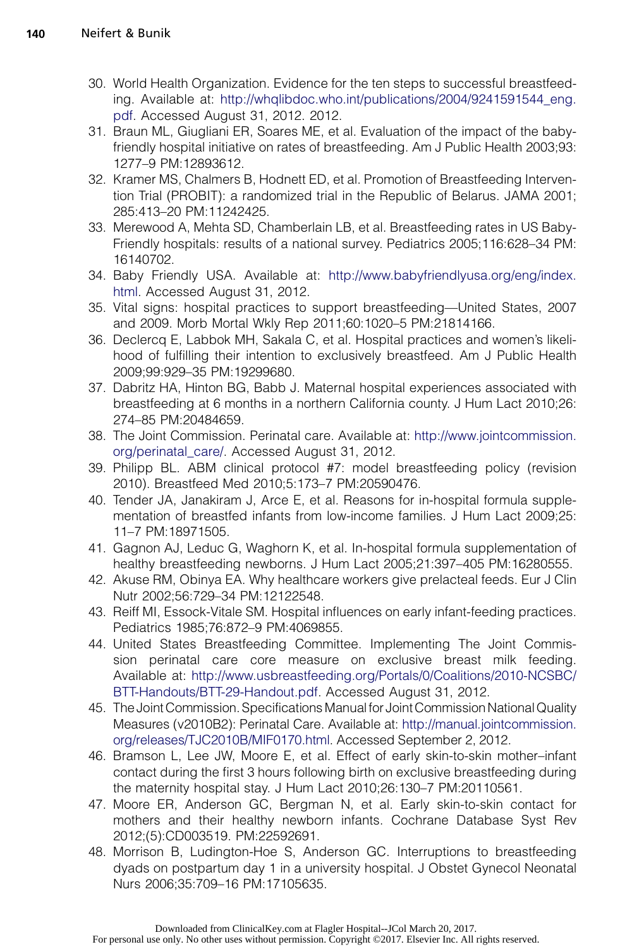- <span id="page-25-0"></span>30. World Health Organization. Evidence for the ten steps to successful breastfeeding. Available at: [http://whqlibdoc.who.int/publications/2004/9241591544\\_eng.](http://whqlibdoc.who.int/publications/2004/9241591544_eng.pdf) [pdf.](http://whqlibdoc.who.int/publications/2004/9241591544_eng.pdf) Accessed August 31, 2012. 2012.
- 31. Braun ML, Giugliani ER, Soares ME, et al. Evaluation of the impact of the babyfriendly hospital initiative on rates of breastfeeding. Am J Public Health 2003;93: 1277–9 PM:12893612.
- 32. Kramer MS, Chalmers B, Hodnett ED, et al. Promotion of Breastfeeding Intervention Trial (PROBIT): a randomized trial in the Republic of Belarus. JAMA 2001; 285:413–20 PM:11242425.
- 33. Merewood A, Mehta SD, Chamberlain LB, et al. Breastfeeding rates in US Baby-Friendly hospitals: results of a national survey. Pediatrics 2005;116:628–34 PM: 16140702.
- 34. Baby Friendly USA. Available at: [http://www.babyfriendlyusa.org/eng/index.](http://www.babyfriendlyusa.org/eng/index.html) [html](http://www.babyfriendlyusa.org/eng/index.html). Accessed August 31, 2012.
- 35. Vital signs: hospital practices to support breastfeeding—United States, 2007 and 2009. Morb Mortal Wkly Rep 2011;60:1020–5 PM:21814166.
- 36. Declercq E, Labbok MH, Sakala C, et al. Hospital practices and women's likelihood of fulfilling their intention to exclusively breastfeed. Am J Public Health 2009;99:929–35 PM:19299680.
- 37. Dabritz HA, Hinton BG, Babb J. Maternal hospital experiences associated with breastfeeding at 6 months in a northern California county. J Hum Lact 2010;26: 274–85 PM:20484659.
- 38. The Joint Commission. Perinatal care. Available at: [http://www.jointcommission.](http://www.jointcommission.org/perinatal_care/) [org/perinatal\\_care/.](http://www.jointcommission.org/perinatal_care/) Accessed August 31, 2012.
- 39. Philipp BL. ABM clinical protocol #7: model breastfeeding policy (revision 2010). Breastfeed Med 2010;5:173–7 PM:20590476.
- 40. Tender JA, Janakiram J, Arce E, et al. Reasons for in-hospital formula supplementation of breastfed infants from low-income families. J Hum Lact 2009;25: 11–7 PM:18971505.
- 41. Gagnon AJ, Leduc G, Waghorn K, et al. In-hospital formula supplementation of healthy breastfeeding newborns. J Hum Lact 2005;21:397–405 PM:16280555.
- 42. Akuse RM, Obinya EA. Why healthcare workers give prelacteal feeds. Eur J Clin Nutr 2002;56:729–34 PM:12122548.
- 43. Reiff MI, Essock-Vitale SM. Hospital influences on early infant-feeding practices. Pediatrics 1985;76:872–9 PM:4069855.
- 44. United States Breastfeeding Committee. Implementing The Joint Commission perinatal care core measure on exclusive breast milk feeding. Available at: [http://www.usbreastfeeding.org/Portals/0/Coalitions/2010-NCSBC/](http://www.usbreastfeeding.org/Portals/0/Coalitions/2010-NCSBC/BTT-Handouts/BTT-29-Handout.pdf) [BTT-Handouts/BTT-29-Handout.pdf](http://www.usbreastfeeding.org/Portals/0/Coalitions/2010-NCSBC/BTT-Handouts/BTT-29-Handout.pdf). Accessed August 31, 2012.
- 45. The Joint Commission. Specifications Manual for Joint Commission National Quality Measures (v2010B2): Perinatal Care. Available at: [http://manual.jointcommission.](http://manual.jointcommission.org/releases/TJC2010B/MIF0170.html) [org/releases/TJC2010B/MIF0170.html](http://manual.jointcommission.org/releases/TJC2010B/MIF0170.html). Accessed September 2, 2012.
- 46. Bramson L, Lee JW, Moore E, et al. Effect of early skin-to-skin mother–infant contact during the first 3 hours following birth on exclusive breastfeeding during the maternity hospital stay. J Hum Lact 2010;26:130–7 PM:20110561.
- 47. Moore ER, Anderson GC, Bergman N, et al. Early skin-to-skin contact for mothers and their healthy newborn infants. Cochrane Database Syst Rev 2012;(5):CD003519. PM:22592691.
- 48. Morrison B, Ludington-Hoe S, Anderson GC. Interruptions to breastfeeding dyads on postpartum day 1 in a university hospital. J Obstet Gynecol Neonatal Nurs 2006;35:709–16 PM:17105635.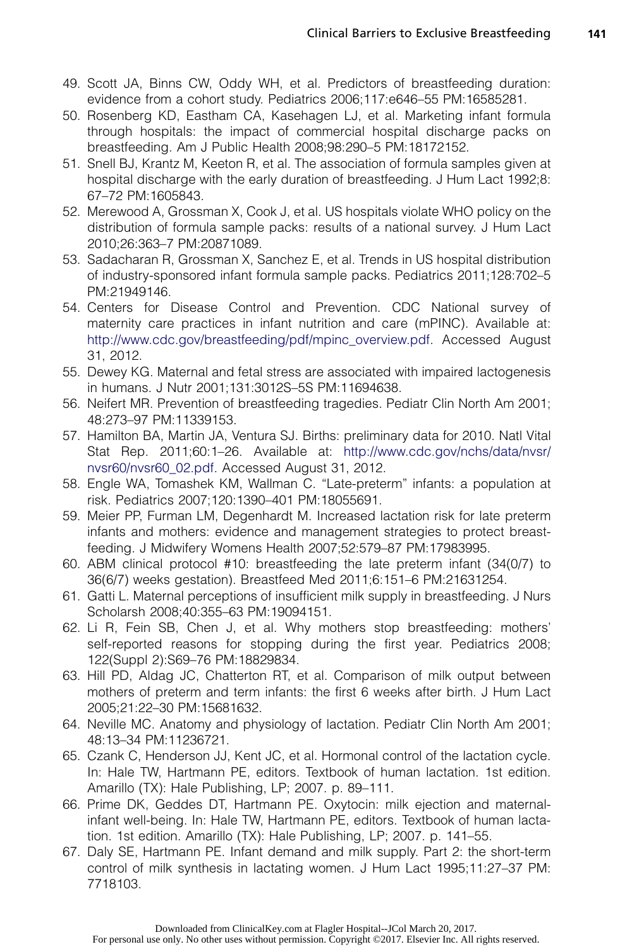- <span id="page-26-0"></span>49. Scott JA, Binns CW, Oddy WH, et al. Predictors of breastfeeding duration: evidence from a cohort study. Pediatrics 2006;117:e646–55 PM:16585281.
- 50. Rosenberg KD, Eastham CA, Kasehagen LJ, et al. Marketing infant formula through hospitals: the impact of commercial hospital discharge packs on breastfeeding. Am J Public Health 2008;98:290–5 PM:18172152.
- 51. Snell BJ, Krantz M, Keeton R, et al. The association of formula samples given at hospital discharge with the early duration of breastfeeding. J Hum Lact 1992;8: 67–72 PM:1605843.
- 52. Merewood A, Grossman X, Cook J, et al. US hospitals violate WHO policy on the distribution of formula sample packs: results of a national survey. J Hum Lact 2010;26:363–7 PM:20871089.
- 53. Sadacharan R, Grossman X, Sanchez E, et al. Trends in US hospital distribution of industry-sponsored infant formula sample packs. Pediatrics 2011;128:702–5 PM:21949146.
- 54. Centers for Disease Control and Prevention. CDC National survey of maternity care practices in infant nutrition and care (mPINC). Available at: [http://www.cdc.gov/breastfeeding/pdf/mpinc\\_overview.pdf.](http://www.cdc.gov/breastfeeding/pdf/mpinc_overview.pdf) Accessed August 31, 2012.
- 55. Dewey KG. Maternal and fetal stress are associated with impaired lactogenesis in humans. J Nutr 2001;131:3012S–5S PM:11694638.
- 56. Neifert MR. Prevention of breastfeeding tragedies. Pediatr Clin North Am 2001; 48:273–97 PM:11339153.
- 57. Hamilton BA, Martin JA, Ventura SJ. Births: preliminary data for 2010. Natl Vital Stat Rep. 2011;60:1–26. Available at: [http://www.cdc.gov/nchs/data/nvsr/](http://www.cdc.gov/nchs/data/nvsr/nvsr60/nvsr60_02.pdf) [nvsr60/nvsr60\\_02.pdf](http://www.cdc.gov/nchs/data/nvsr/nvsr60/nvsr60_02.pdf). Accessed August 31, 2012.
- 58. Engle WA, Tomashek KM, Wallman C. "Late-preterm" infants: a population at risk. Pediatrics 2007;120:1390–401 PM:18055691.
- 59. Meier PP, Furman LM, Degenhardt M. Increased lactation risk for late preterm infants and mothers: evidence and management strategies to protect breastfeeding. J Midwifery Womens Health 2007;52:579–87 PM:17983995.
- 60. ABM clinical protocol #10: breastfeeding the late preterm infant (34(0/7) to 36(6/7) weeks gestation). Breastfeed Med 2011;6:151–6 PM:21631254.
- 61. Gatti L. Maternal perceptions of insufficient milk supply in breastfeeding. J Nurs Scholarsh 2008;40:355–63 PM:19094151.
- 62. Li R, Fein SB, Chen J, et al. Why mothers stop breastfeeding: mothers' self-reported reasons for stopping during the first year. Pediatrics 2008; 122(Suppl 2):S69–76 PM:18829834.
- 63. Hill PD, Aldag JC, Chatterton RT, et al. Comparison of milk output between mothers of preterm and term infants: the first 6 weeks after birth. J Hum Lact 2005;21:22–30 PM:15681632.
- 64. Neville MC. Anatomy and physiology of lactation. Pediatr Clin North Am 2001; 48:13–34 PM:11236721.
- 65. Czank C, Henderson JJ, Kent JC, et al. Hormonal control of the lactation cycle. In: Hale TW, Hartmann PE, editors. Textbook of human lactation. 1st edition. Amarillo (TX): Hale Publishing, LP; 2007. p. 89–111.
- 66. Prime DK, Geddes DT, Hartmann PE. Oxytocin: milk ejection and maternalinfant well-being. In: Hale TW, Hartmann PE, editors. Textbook of human lactation. 1st edition. Amarillo (TX): Hale Publishing, LP; 2007. p. 141–55.
- 67. Daly SE, Hartmann PE. Infant demand and milk supply. Part 2: the short-term control of milk synthesis in lactating women. J Hum Lact 1995;11:27–37 PM: 7718103.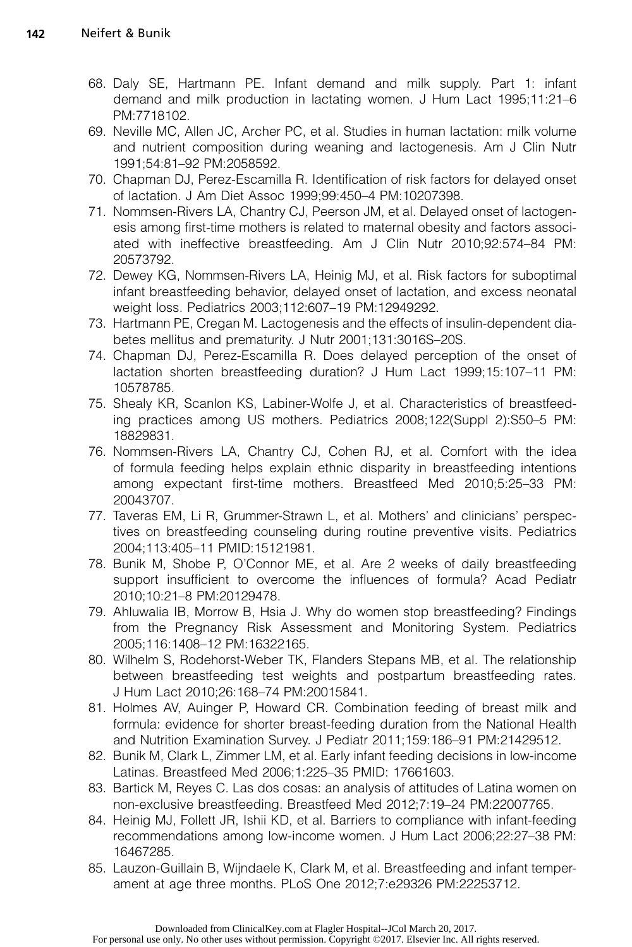- <span id="page-27-0"></span>68. Daly SE, Hartmann PE. Infant demand and milk supply. Part 1: infant demand and milk production in lactating women. J Hum Lact 1995;11:21–6 PM:7718102.
- 69. Neville MC, Allen JC, Archer PC, et al. Studies in human lactation: milk volume and nutrient composition during weaning and lactogenesis. Am J Clin Nutr 1991;54:81–92 PM:2058592.
- 70. Chapman DJ, Perez-Escamilla R. Identification of risk factors for delayed onset of lactation. J Am Diet Assoc 1999;99:450–4 PM:10207398.
- 71. Nommsen-Rivers LA, Chantry CJ, Peerson JM, et al. Delayed onset of lactogenesis among first-time mothers is related to maternal obesity and factors associated with ineffective breastfeeding. Am J Clin Nutr 2010;92:574–84 PM: 20573792.
- 72. Dewey KG, Nommsen-Rivers LA, Heinig MJ, et al. Risk factors for suboptimal infant breastfeeding behavior, delayed onset of lactation, and excess neonatal weight loss. Pediatrics 2003;112:607–19 PM:12949292.
- 73. Hartmann PE, Cregan M. Lactogenesis and the effects of insulin-dependent diabetes mellitus and prematurity. J Nutr 2001;131:3016S–20S.
- 74. Chapman DJ, Perez-Escamilla R. Does delayed perception of the onset of lactation shorten breastfeeding duration? J Hum Lact 1999;15:107–11 PM: 10578785.
- 75. Shealy KR, Scanlon KS, Labiner-Wolfe J, et al. Characteristics of breastfeeding practices among US mothers. Pediatrics 2008;122(Suppl 2):S50–5 PM: 18829831.
- 76. Nommsen-Rivers LA, Chantry CJ, Cohen RJ, et al. Comfort with the idea of formula feeding helps explain ethnic disparity in breastfeeding intentions among expectant first-time mothers. Breastfeed Med 2010;5:25–33 PM: 20043707.
- 77. Taveras EM, Li R, Grummer-Strawn L, et al. Mothers' and clinicians' perspectives on breastfeeding counseling during routine preventive visits. Pediatrics 2004;113:405–11 PMID:15121981.
- 78. Bunik M, Shobe P, O'Connor ME, et al. Are 2 weeks of daily breastfeeding support insufficient to overcome the influences of formula? Acad Pediatr 2010;10:21–8 PM:20129478.
- 79. Ahluwalia IB, Morrow B, Hsia J. Why do women stop breastfeeding? Findings from the Pregnancy Risk Assessment and Monitoring System. Pediatrics 2005;116:1408–12 PM:16322165.
- 80. Wilhelm S, Rodehorst-Weber TK, Flanders Stepans MB, et al. The relationship between breastfeeding test weights and postpartum breastfeeding rates. J Hum Lact 2010;26:168–74 PM:20015841.
- 81. Holmes AV, Auinger P, Howard CR. Combination feeding of breast milk and formula: evidence for shorter breast-feeding duration from the National Health and Nutrition Examination Survey. J Pediatr 2011;159:186–91 PM:21429512.
- 82. Bunik M, Clark L, Zimmer LM, et al. Early infant feeding decisions in low-income Latinas. Breastfeed Med 2006;1:225–35 PMID: 17661603.
- 83. Bartick M, Reyes C. Las dos cosas: an analysis of attitudes of Latina women on non-exclusive breastfeeding. Breastfeed Med 2012;7:19–24 PM:22007765.
- 84. Heinig MJ, Follett JR, Ishii KD, et al. Barriers to compliance with infant-feeding recommendations among low-income women. J Hum Lact 2006;22:27–38 PM: 16467285.
- 85. Lauzon-Guillain B, Wijndaele K, Clark M, et al. Breastfeeding and infant temperament at age three months. PLoS One 2012;7:e29326 PM:22253712.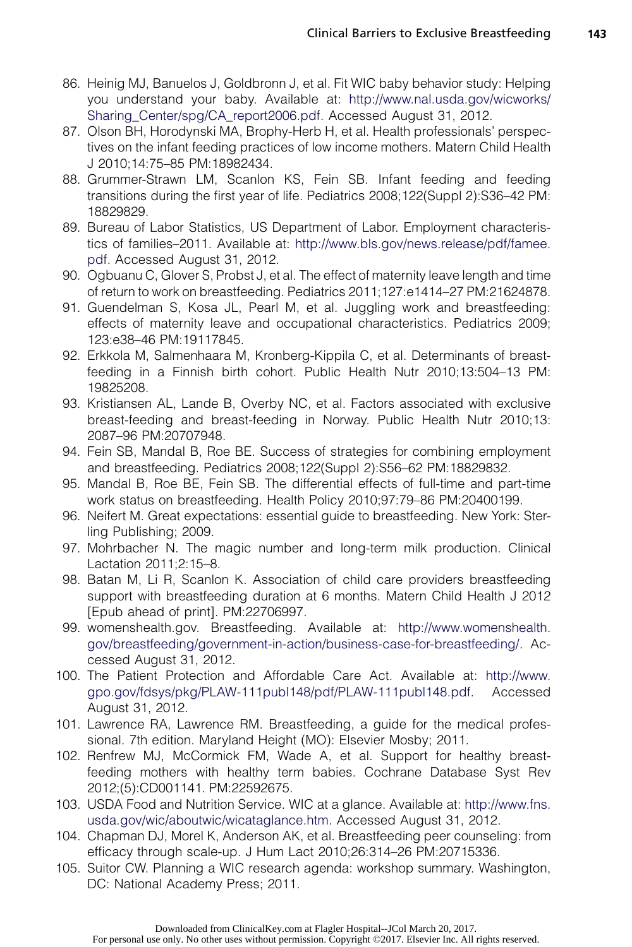- <span id="page-28-0"></span>86. Heinig MJ, Banuelos J, Goldbronn J, et al. Fit WIC baby behavior study: Helping you understand your baby. Available at: [http://www.nal.usda.gov/wicworks/](http://www.nal.usda.gov/wicworks/Sharing_Center/spg/CA_report2006.pdf) Sharing Center/spg/CA\_report2006.pdf. Accessed August 31, 2012.
- 87. Olson BH, Horodynski MA, Brophy-Herb H, et al. Health professionals' perspectives on the infant feeding practices of low income mothers. Matern Child Health J 2010;14:75–85 PM:18982434.
- 88. Grummer-Strawn LM, Scanlon KS, Fein SB. Infant feeding and feeding transitions during the first year of life. Pediatrics 2008;122(Suppl 2):S36–42 PM: 18829829.
- 89. Bureau of Labor Statistics, US Department of Labor. Employment characteristics of families–2011. Available at: [http://www.bls.gov/news.release/pdf/famee.](http://www.bls.gov/news.release/pdf/famee.pdf) [pdf](http://www.bls.gov/news.release/pdf/famee.pdf). Accessed August 31, 2012.
- 90. Ogbuanu C, Glover S, Probst J, et al. The effect of maternity leave length and time of return to work on breastfeeding. Pediatrics 2011;127:e1414–27 PM:21624878.
- 91. Guendelman S, Kosa JL, Pearl M, et al. Juggling work and breastfeeding: effects of maternity leave and occupational characteristics. Pediatrics 2009; 123:e38–46 PM:19117845.
- 92. Erkkola M, Salmenhaara M, Kronberg-Kippila C, et al. Determinants of breastfeeding in a Finnish birth cohort. Public Health Nutr 2010;13:504–13 PM: 19825208.
- 93. Kristiansen AL, Lande B, Overby NC, et al. Factors associated with exclusive breast-feeding and breast-feeding in Norway. Public Health Nutr 2010;13: 2087–96 PM:20707948.
- 94. Fein SB, Mandal B, Roe BE. Success of strategies for combining employment and breastfeeding. Pediatrics 2008;122(Suppl 2):S56–62 PM:18829832.
- 95. Mandal B, Roe BE, Fein SB. The differential effects of full-time and part-time work status on breastfeeding. Health Policy 2010;97:79–86 PM:20400199.
- 96. Neifert M. Great expectations: essential guide to breastfeeding. New York: Sterling Publishing; 2009.
- 97. Mohrbacher N. The magic number and long-term milk production. Clinical Lactation 2011;2:15–8.
- 98. Batan M, Li R, Scanlon K. Association of child care providers breastfeeding support with breastfeeding duration at 6 months. Matern Child Health J 2012 [Epub ahead of print]. PM:22706997.
- 99. womenshealth.gov. Breastfeeding. Available at: [http://www.womenshealth.](http://www.womenshealth.gov/breastfeeding/government-in-action/business-case-for-breastfeeding/) [gov/breastfeeding/government-in-action/business-case-for-breastfeeding/](http://www.womenshealth.gov/breastfeeding/government-in-action/business-case-for-breastfeeding/). Accessed August 31, 2012.
- 100. The Patient Protection and Affordable Care Act. Available at: [http://www.](http://www.gpo.gov/fdsys/pkg/PLAW-111publ148/pdf/PLAW-111publ148.pdf) [gpo.gov/fdsys/pkg/PLAW-111publ148/pdf/PLAW-111publ148.pdf.](http://www.gpo.gov/fdsys/pkg/PLAW-111publ148/pdf/PLAW-111publ148.pdf) Accessed August 31, 2012.
- 101. Lawrence RA, Lawrence RM. Breastfeeding, a guide for the medical professional. 7th edition. Maryland Height (MO): Elsevier Mosby; 2011.
- 102. Renfrew MJ, McCormick FM, Wade A, et al. Support for healthy breastfeeding mothers with healthy term babies. Cochrane Database Syst Rev 2012;(5):CD001141. PM:22592675.
- 103. USDA Food and Nutrition Service. WIC at a glance. Available at: [http://www.fns.](http://www.fns.usda.gov/wic/aboutwic/wicataglance.htm) [usda.gov/wic/aboutwic/wicataglance.htm.](http://www.fns.usda.gov/wic/aboutwic/wicataglance.htm) Accessed August 31, 2012.
- 104. Chapman DJ, Morel K, Anderson AK, et al. Breastfeeding peer counseling: from efficacy through scale-up. J Hum Lact 2010;26:314–26 PM:20715336.
- 105. Suitor CW. Planning a WIC research agenda: workshop summary. Washington, DC: National Academy Press; 2011.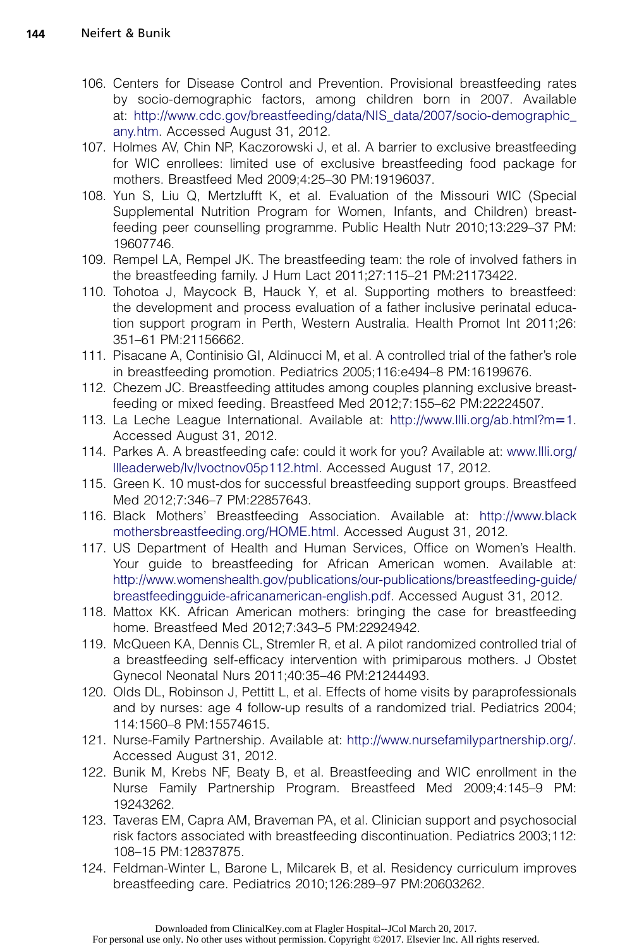- <span id="page-29-0"></span>106. Centers for Disease Control and Prevention. Provisional breastfeeding rates by socio-demographic factors, among children born in 2007. Available at: [http://www.cdc.gov/breastfeeding/data/NIS\\_data/2007/socio-demographic\\_](http://www.cdc.gov/breastfeeding/data/NIS_data/2007/socio-demographic_any.htm) [any.htm](http://www.cdc.gov/breastfeeding/data/NIS_data/2007/socio-demographic_any.htm). Accessed August 31, 2012.
- 107. Holmes AV, Chin NP, Kaczorowski J, et al. A barrier to exclusive breastfeeding for WIC enrollees: limited use of exclusive breastfeeding food package for mothers. Breastfeed Med 2009;4:25–30 PM:19196037.
- 108. Yun S, Liu Q, Mertzlufft K, et al. Evaluation of the Missouri WIC (Special Supplemental Nutrition Program for Women, Infants, and Children) breastfeeding peer counselling programme. Public Health Nutr 2010;13:229–37 PM: 19607746.
- 109. Rempel LA, Rempel JK. The breastfeeding team: the role of involved fathers in the breastfeeding family. J Hum Lact 2011;27:115–21 PM:21173422.
- 110. Tohotoa J, Maycock B, Hauck Y, et al. Supporting mothers to breastfeed: the development and process evaluation of a father inclusive perinatal education support program in Perth, Western Australia. Health Promot Int 2011;26: 351–61 PM:21156662.
- 111. Pisacane A, Continisio GI, Aldinucci M, et al. A controlled trial of the father's role in breastfeeding promotion. Pediatrics 2005;116:e494–8 PM:16199676.
- 112. Chezem JC. Breastfeeding attitudes among couples planning exclusive breastfeeding or mixed feeding. Breastfeed Med 2012;7:155–62 PM:22224507.
- 113. La Leche League International. Available at: [http://www.llli.org/ab.html?m](http://www.llli.org/ab.html?m=1)=1. Accessed August 31, 2012.
- 114. Parkes A. A breastfeeding cafe: could it work for you? Available at: [www.llli.org/](http://www.llli.org/llleaderweb/lv/lvoctnov05p112.html) [llleaderweb/lv/lvoctnov05p112.html.](http://www.llli.org/llleaderweb/lv/lvoctnov05p112.html) Accessed August 17, 2012.
- 115. Green K. 10 must-dos for successful breastfeeding support groups. Breastfeed Med 2012;7:346–7 PM:22857643.
- 116. Black Mothers' Breastfeeding Association. Available at: [http://www.black](http://www.blackmothersbreastfeeding.org/HOME.html) [mothersbreastfeeding.org/HOME.html.](http://www.blackmothersbreastfeeding.org/HOME.html) Accessed August 31, 2012.
- 117. US Department of Health and Human Services, Office on Women's Health. Your guide to breastfeeding for African American women. Available at: [http://www.womenshealth.gov/publications/our-publications/breastfeeding-guide/](http://www.womenshealth.gov/publications/our-publications/breastfeeding-guide/breastfeedingguide-africanamerican-english.pdf) [breastfeedingguide-africanamerican-english.pdf.](http://www.womenshealth.gov/publications/our-publications/breastfeeding-guide/breastfeedingguide-africanamerican-english.pdf) Accessed August 31, 2012.
- 118. Mattox KK. African American mothers: bringing the case for breastfeeding home. Breastfeed Med 2012;7:343–5 PM:22924942.
- 119. McQueen KA, Dennis CL, Stremler R, et al. A pilot randomized controlled trial of a breastfeeding self-efficacy intervention with primiparous mothers. J Obstet Gynecol Neonatal Nurs 2011;40:35–46 PM:21244493.
- 120. Olds DL, Robinson J, Pettitt L, et al. Effects of home visits by paraprofessionals and by nurses: age 4 follow-up results of a randomized trial. Pediatrics 2004; 114:1560–8 PM:15574615.
- 121. Nurse-Family Partnership. Available at: [http://www.nursefamilypartnership.org/.](http://www.nursefamilypartnership.org/) Accessed August 31, 2012.
- 122. Bunik M, Krebs NF, Beaty B, et al. Breastfeeding and WIC enrollment in the Nurse Family Partnership Program. Breastfeed Med 2009;4:145–9 PM: 19243262.
- 123. Taveras EM, Capra AM, Braveman PA, et al. Clinician support and psychosocial risk factors associated with breastfeeding discontinuation. Pediatrics 2003;112: 108–15 PM:12837875.
- 124. Feldman-Winter L, Barone L, Milcarek B, et al. Residency curriculum improves breastfeeding care. Pediatrics 2010;126:289–97 PM:20603262.